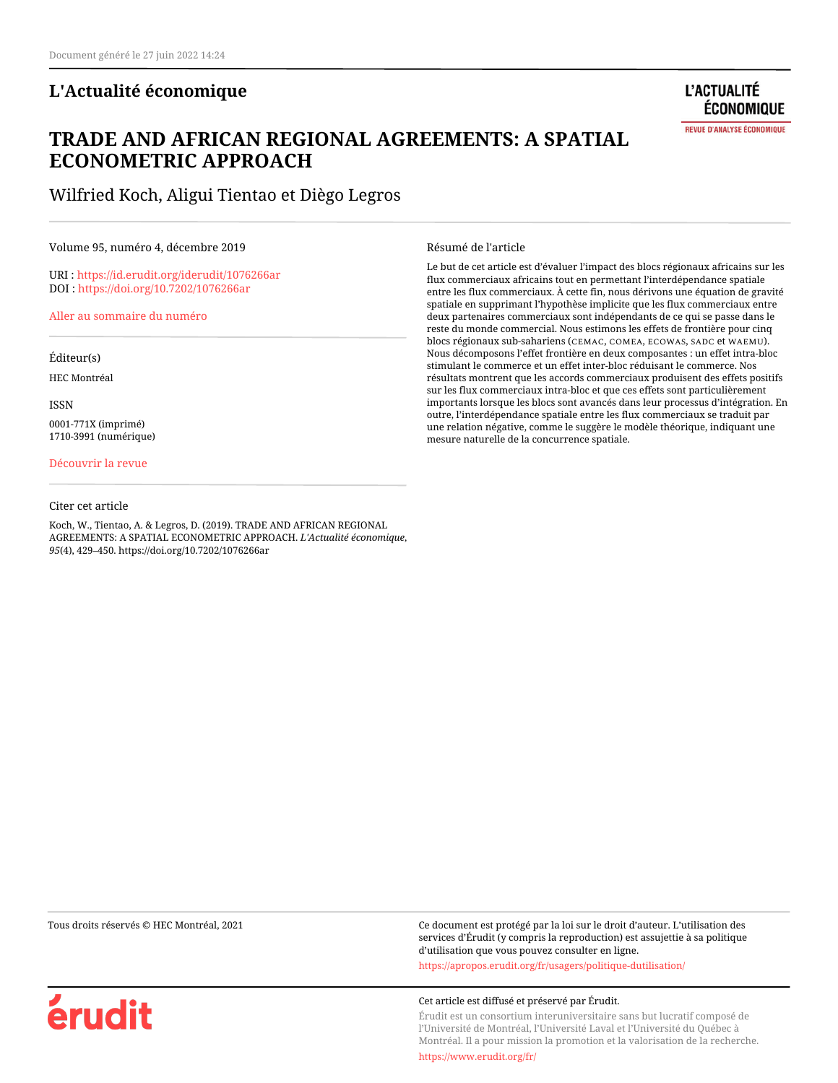## **L'Actualité économique**

# **TRADE AND AFRICAN REGIONAL AGREEMENTS: A SPATIAL ECONOMETRIC APPROACH**

Wilfried Koch, Aligui Tientao et Diègo Legros

## Volume 95, numéro 4, décembre 2019

URI :<https://id.erudit.org/iderudit/1076266ar> DOI :<https://doi.org/10.7202/1076266ar>

[Aller au sommaire du numéro](https://www.erudit.org/fr/revues/ae/2019-v95-n4-ae05929/)

Éditeur(s)

HEC Montréal

ISSN

0001-771X (imprimé) 1710-3991 (numérique)

#### [Découvrir la revue](https://www.erudit.org/fr/revues/ae/)

#### Citer cet article

Koch, W., Tientao, A. & Legros, D. (2019). TRADE AND AFRICAN REGIONAL AGREEMENTS: A SPATIAL ECONOMETRIC APPROACH. *L'Actualité économique*, *95*(4), 429–450. https://doi.org/10.7202/1076266ar

Résumé de l'article

Le but de cet article est d'évaluer l'impact des blocs régionaux africains sur les flux commerciaux africains tout en permettant l'interdépendance spatiale entre les flux commerciaux. À cette fin, nous dérivons une équation de gravité spatiale en supprimant l'hypothèse implicite que les flux commerciaux entre deux partenaires commerciaux sont indépendants de ce qui se passe dans le reste du monde commercial. Nous estimons les effets de frontière pour cinq blocs régionaux sub-sahariens (cemac, comea, ecowas, sadc et waemu). Nous décomposons l'effet frontière en deux composantes : un effet intra-bloc stimulant le commerce et un effet inter-bloc réduisant le commerce. Nos résultats montrent que les accords commerciaux produisent des effets positifs sur les flux commerciaux intra-bloc et que ces effets sont particulièrement importants lorsque les blocs sont avancés dans leur processus d'intégration. En outre, l'interdépendance spatiale entre les flux commerciaux se traduit par une relation négative, comme le suggère le modèle théorique, indiquant une mesure naturelle de la concurrence spatiale.

Tous droits réservés © HEC Montréal, 2021 Ce document est protégé par la loi sur le droit d'auteur. L'utilisation des services d'Érudit (y compris la reproduction) est assujettie à sa politique d'utilisation que vous pouvez consulter en ligne.

<https://apropos.erudit.org/fr/usagers/politique-dutilisation/>

#### Cet article est diffusé et préservé par Érudit.

Érudit est un consortium interuniversitaire sans but lucratif composé de l'Université de Montréal, l'Université Laval et l'Université du Québec à Montréal. Il a pour mission la promotion et la valorisation de la recherche.

<https://www.erudit.org/fr/>

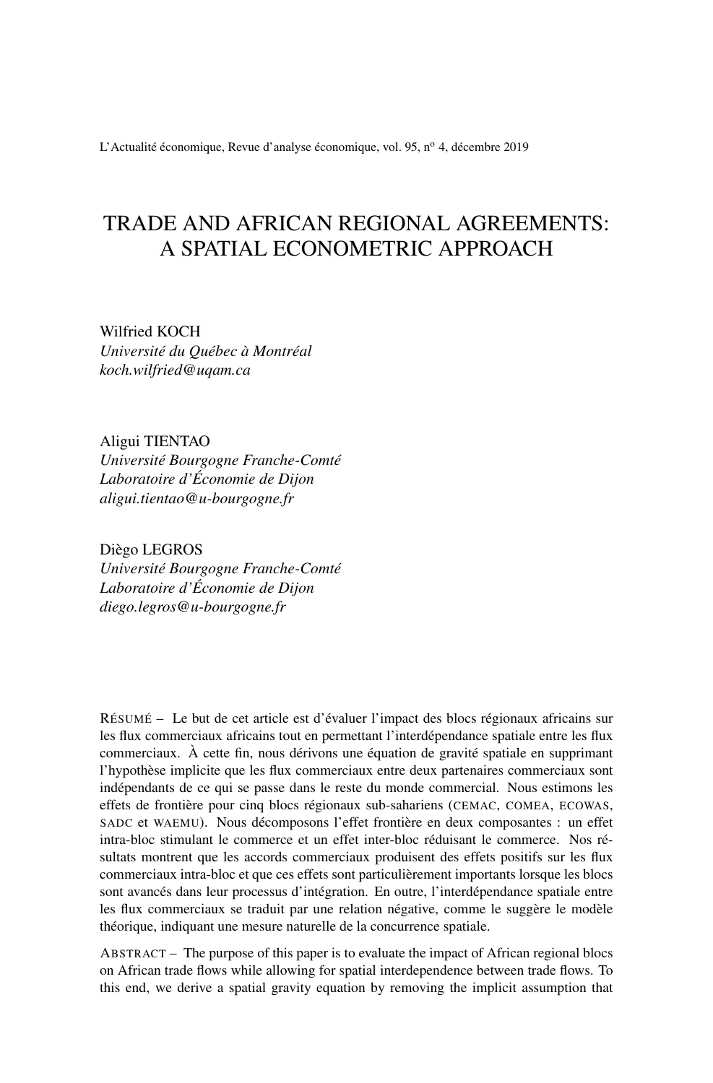L'Actualité économique, Revue d'analyse économique, vol. 95, nº 4, décembre 2019

## TRADE AND AFRICAN REGIONAL AGREEMENTS: A SPATIAL ECONOMETRIC APPROACH

Wilfried KOCH *Université du Québec à Montréal koch.wilfried@uqam.ca*

Aligui TIENTAO *Université Bourgogne Franche-Comté Laboratoire d'Économie de Dijon aligui.tientao@u-bourgogne.fr*

Diègo LEGROS *Université Bourgogne Franche-Comté Laboratoire d'Économie de Dijon diego.legros@u-bourgogne.fr*

RÉSUMÉ – Le but de cet article est d'évaluer l'impact des blocs régionaux africains sur les flux commerciaux africains tout en permettant l'interdépendance spatiale entre les flux commerciaux. À cette fin, nous dérivons une équation de gravité spatiale en supprimant l'hypothèse implicite que les flux commerciaux entre deux partenaires commerciaux sont indépendants de ce qui se passe dans le reste du monde commercial. Nous estimons les effets de frontière pour cinq blocs régionaux sub-sahariens (CEMAC, COMEA, ECOWAS, SADC et WAEMU). Nous décomposons l'effet frontière en deux composantes : un effet intra-bloc stimulant le commerce et un effet inter-bloc réduisant le commerce. Nos résultats montrent que les accords commerciaux produisent des effets positifs sur les flux commerciaux intra-bloc et que ces effets sont particulièrement importants lorsque les blocs sont avancés dans leur processus d'intégration. En outre, l'interdépendance spatiale entre les flux commerciaux se traduit par une relation négative, comme le suggère le modèle théorique, indiquant une mesure naturelle de la concurrence spatiale.

ABSTRACT – The purpose of this paper is to evaluate the impact of African regional blocs on African trade flows while allowing for spatial interdependence between trade flows. To this end, we derive a spatial gravity equation by removing the implicit assumption that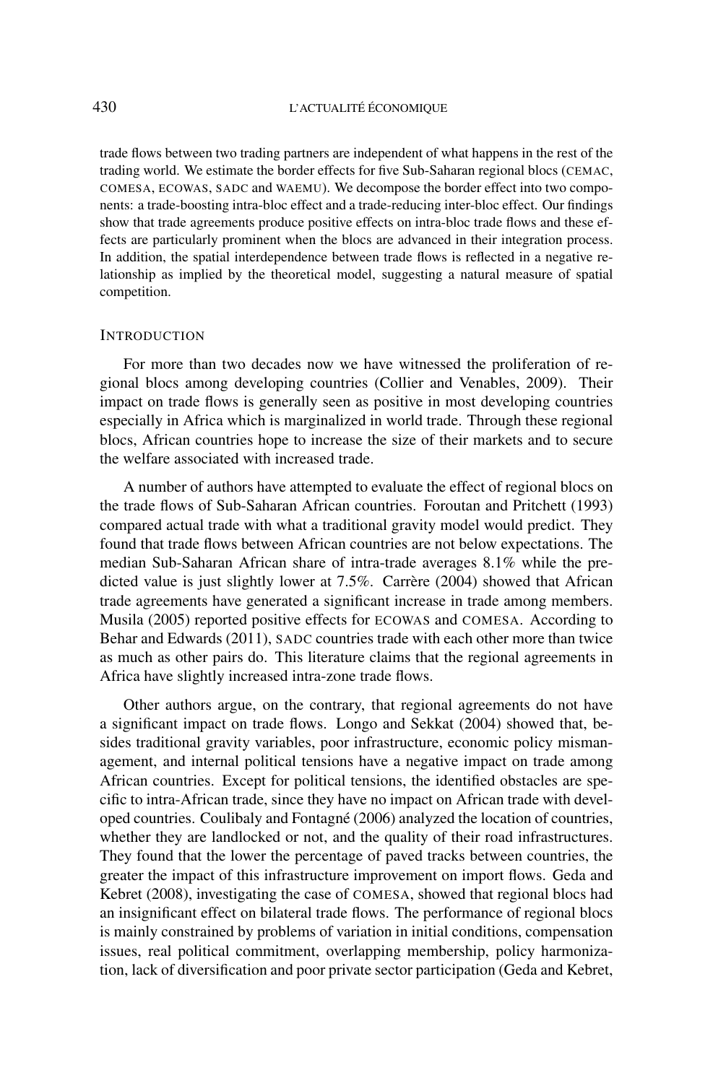trade flows between two trading partners are independent of what happens in the rest of the trading world. We estimate the border effects for five Sub-Saharan regional blocs (CEMAC, COMESA, ECOWAS, SADC and WAEMU). We decompose the border effect into two components: a trade-boosting intra-bloc effect and a trade-reducing inter-bloc effect. Our findings show that trade agreements produce positive effects on intra-bloc trade flows and these effects are particularly prominent when the blocs are advanced in their integration process. In addition, the spatial interdependence between trade flows is reflected in a negative relationship as implied by the theoretical model, suggesting a natural measure of spatial competition.

#### INTRODUCTION

For more than two decades now we have witnessed the proliferation of regional blocs among developing countries (Collier and Venables, 2009). Their impact on trade flows is generally seen as positive in most developing countries especially in Africa which is marginalized in world trade. Through these regional blocs, African countries hope to increase the size of their markets and to secure the welfare associated with increased trade.

A number of authors have attempted to evaluate the effect of regional blocs on the trade flows of Sub-Saharan African countries. Foroutan and Pritchett (1993) compared actual trade with what a traditional gravity model would predict. They found that trade flows between African countries are not below expectations. The median Sub-Saharan African share of intra-trade averages 8.1% while the predicted value is just slightly lower at 7.5%. Carrère (2004) showed that African trade agreements have generated a significant increase in trade among members. Musila (2005) reported positive effects for ECOWAS and COMESA. According to Behar and Edwards (2011), SADC countries trade with each other more than twice as much as other pairs do. This literature claims that the regional agreements in Africa have slightly increased intra-zone trade flows.

Other authors argue, on the contrary, that regional agreements do not have a significant impact on trade flows. Longo and Sekkat (2004) showed that, besides traditional gravity variables, poor infrastructure, economic policy mismanagement, and internal political tensions have a negative impact on trade among African countries. Except for political tensions, the identified obstacles are specific to intra-African trade, since they have no impact on African trade with developed countries. Coulibaly and Fontagné (2006) analyzed the location of countries, whether they are landlocked or not, and the quality of their road infrastructures. They found that the lower the percentage of paved tracks between countries, the greater the impact of this infrastructure improvement on import flows. Geda and Kebret (2008), investigating the case of COMESA, showed that regional blocs had an insignificant effect on bilateral trade flows. The performance of regional blocs is mainly constrained by problems of variation in initial conditions, compensation issues, real political commitment, overlapping membership, policy harmonization, lack of diversification and poor private sector participation (Geda and Kebret,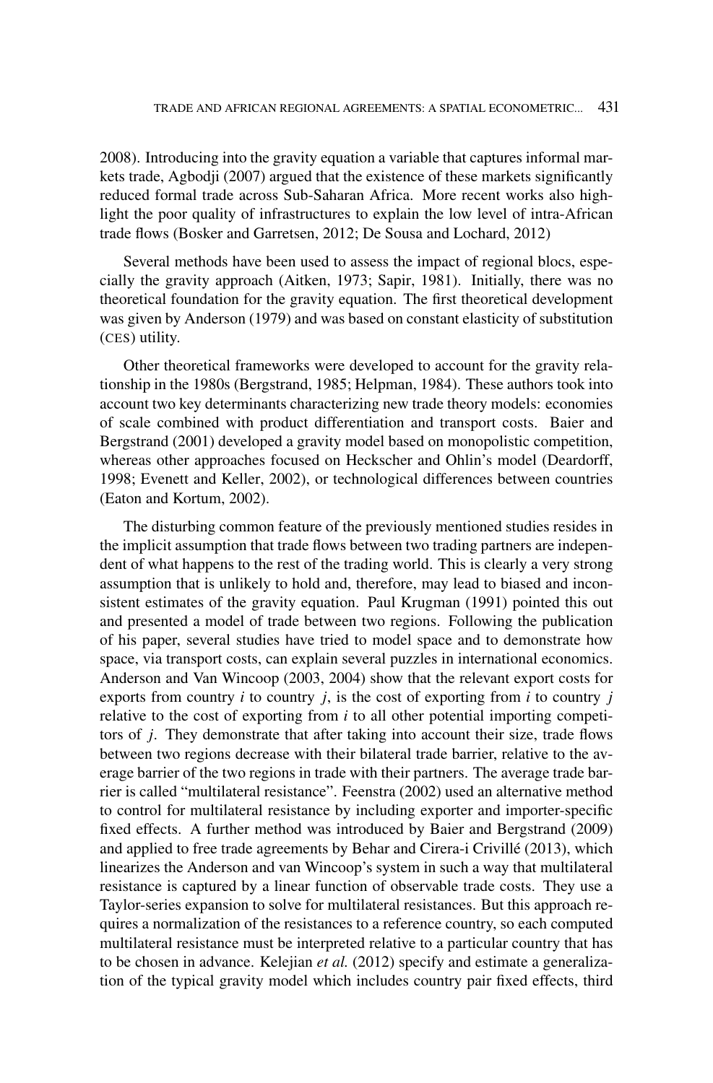2008). Introducing into the gravity equation a variable that captures informal markets trade, Agbodji (2007) argued that the existence of these markets significantly reduced formal trade across Sub-Saharan Africa. More recent works also highlight the poor quality of infrastructures to explain the low level of intra-African trade flows (Bosker and Garretsen, 2012; De Sousa and Lochard, 2012)

Several methods have been used to assess the impact of regional blocs, especially the gravity approach (Aitken, 1973; Sapir, 1981). Initially, there was no theoretical foundation for the gravity equation. The first theoretical development was given by Anderson (1979) and was based on constant elasticity of substitution (CES) utility.

Other theoretical frameworks were developed to account for the gravity relationship in the 1980s (Bergstrand, 1985; Helpman, 1984). These authors took into account two key determinants characterizing new trade theory models: economies of scale combined with product differentiation and transport costs. Baier and Bergstrand (2001) developed a gravity model based on monopolistic competition, whereas other approaches focused on Heckscher and Ohlin's model (Deardorff, 1998; Evenett and Keller, 2002), or technological differences between countries (Eaton and Kortum, 2002).

The disturbing common feature of the previously mentioned studies resides in the implicit assumption that trade flows between two trading partners are independent of what happens to the rest of the trading world. This is clearly a very strong assumption that is unlikely to hold and, therefore, may lead to biased and inconsistent estimates of the gravity equation. Paul Krugman (1991) pointed this out and presented a model of trade between two regions. Following the publication of his paper, several studies have tried to model space and to demonstrate how space, via transport costs, can explain several puzzles in international economics. Anderson and Van Wincoop (2003, 2004) show that the relevant export costs for exports from country *i* to country *j*, is the cost of exporting from *i* to country *j* relative to the cost of exporting from *i* to all other potential importing competitors of *j*. They demonstrate that after taking into account their size, trade flows between two regions decrease with their bilateral trade barrier, relative to the average barrier of the two regions in trade with their partners. The average trade barrier is called "multilateral resistance". Feenstra (2002) used an alternative method to control for multilateral resistance by including exporter and importer-specific fixed effects. A further method was introduced by Baier and Bergstrand (2009) and applied to free trade agreements by Behar and Cirera-i Crivillé (2013), which linearizes the Anderson and van Wincoop's system in such a way that multilateral resistance is captured by a linear function of observable trade costs. They use a Taylor-series expansion to solve for multilateral resistances. But this approach requires a normalization of the resistances to a reference country, so each computed multilateral resistance must be interpreted relative to a particular country that has to be chosen in advance. Kelejian *et al.* (2012) specify and estimate a generalization of the typical gravity model which includes country pair fixed effects, third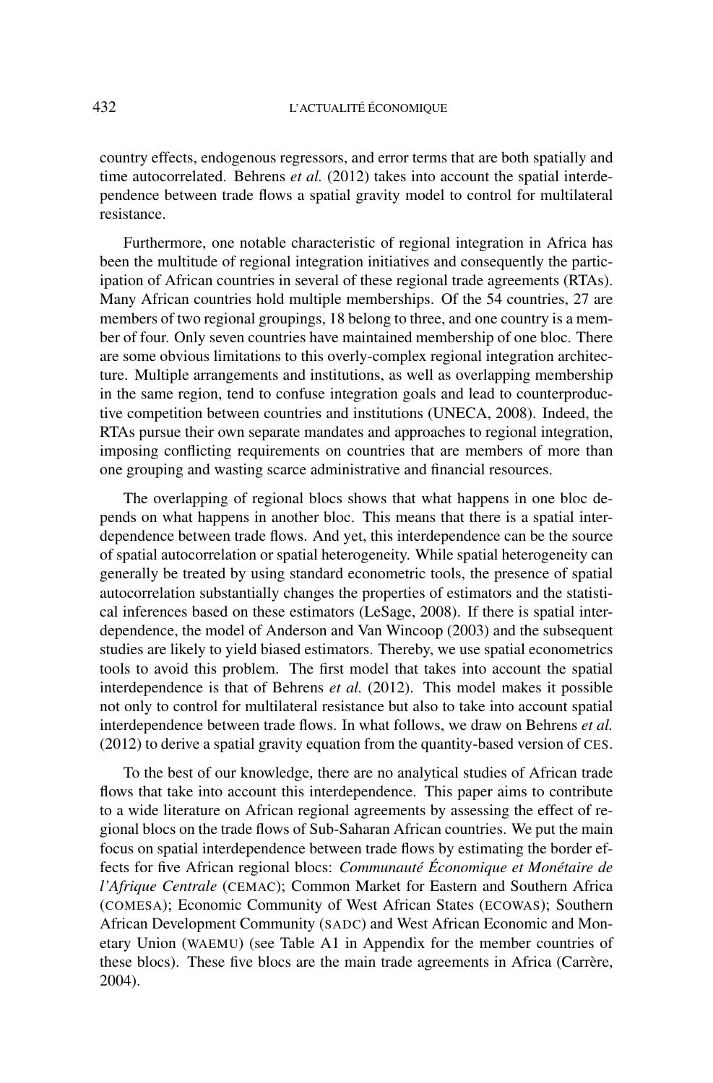country effects, endogenous regressors, and error terms that are both spatially and time autocorrelated. Behrens *et al.* (2012) takes into account the spatial interdependence between trade flows a spatial gravity model to control for multilateral resistance.

Furthermore, one notable characteristic of regional integration in Africa has been the multitude of regional integration initiatives and consequently the participation of African countries in several of these regional trade agreements (RTAs). Many African countries hold multiple memberships. Of the 54 countries, 27 are members of two regional groupings, 18 belong to three, and one country is a member of four. Only seven countries have maintained membership of one bloc. There are some obvious limitations to this overly-complex regional integration architecture. Multiple arrangements and institutions, as well as overlapping membership in the same region, tend to confuse integration goals and lead to counterproductive competition between countries and institutions (UNECA, 2008). Indeed, the RTAs pursue their own separate mandates and approaches to regional integration, imposing conflicting requirements on countries that are members of more than one grouping and wasting scarce administrative and financial resources.

The overlapping of regional blocs shows that what happens in one bloc depends on what happens in another bloc. This means that there is a spatial interdependence between trade flows. And yet, this interdependence can be the source of spatial autocorrelation or spatial heterogeneity. While spatial heterogeneity can generally be treated by using standard econometric tools, the presence of spatial autocorrelation substantially changes the properties of estimators and the statistical inferences based on these estimators (LeSage, 2008). If there is spatial interdependence, the model of Anderson and Van Wincoop (2003) and the subsequent studies are likely to yield biased estimators. Thereby, we use spatial econometrics tools to avoid this problem. The first model that takes into account the spatial interdependence is that of Behrens *et al.* (2012). This model makes it possible not only to control for multilateral resistance but also to take into account spatial interdependence between trade flows. In what follows, we draw on Behrens *et al.* (2012) to derive a spatial gravity equation from the quantity-based version of CES.

To the best of our knowledge, there are no analytical studies of African trade flows that take into account this interdependence. This paper aims to contribute to a wide literature on African regional agreements by assessing the effect of regional blocs on the trade flows of Sub-Saharan African countries. We put the main focus on spatial interdependence between trade flows by estimating the border effects for five African regional blocs: *Communauté Économique et Monétaire de l'Afrique Centrale* (CEMAC); Common Market for Eastern and Southern Africa (COMESA); Economic Community of West African States (ECOWAS); Southern African Development Community (SADC) and West African Economic and Monetary Union (WAEMU) (see Table A1 in Appendix for the member countries of these blocs). These five blocs are the main trade agreements in Africa (Carrère, 2004).

432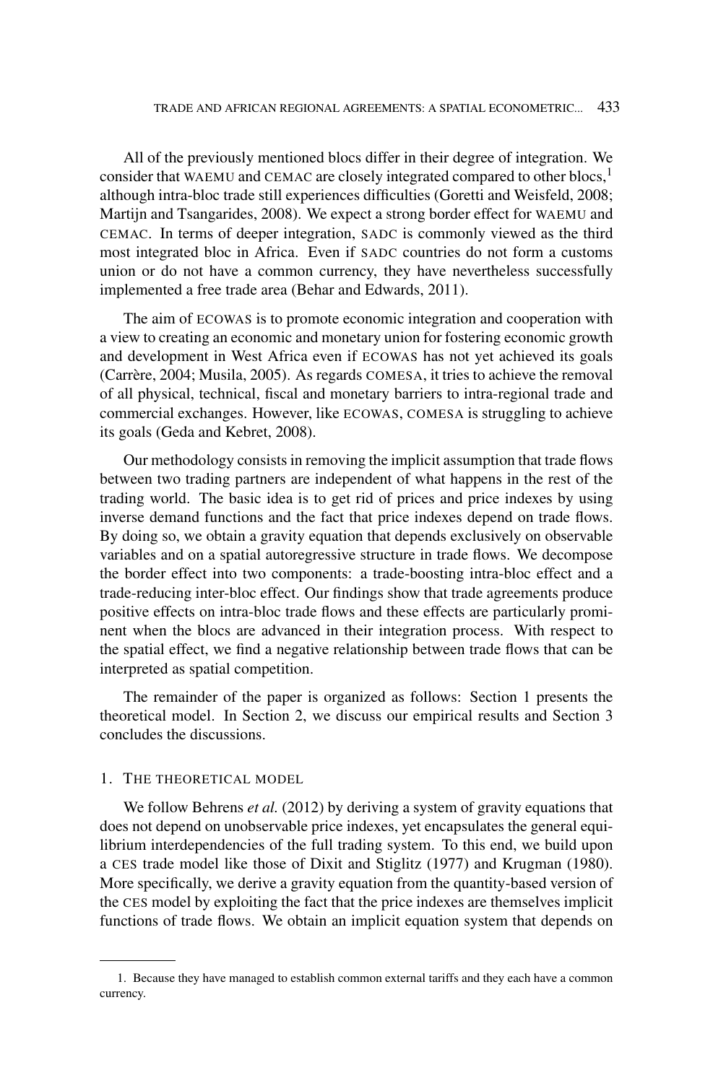All of the previously mentioned blocs differ in their degree of integration. We consider that WAEMU and CEMAC are closely integrated compared to other blocs, $<sup>1</sup>$ </sup> although intra-bloc trade still experiences difficulties (Goretti and Weisfeld, 2008; Martijn and Tsangarides, 2008). We expect a strong border effect for WAEMU and CEMAC. In terms of deeper integration, SADC is commonly viewed as the third most integrated bloc in Africa. Even if SADC countries do not form a customs union or do not have a common currency, they have nevertheless successfully implemented a free trade area (Behar and Edwards, 2011).

The aim of ECOWAS is to promote economic integration and cooperation with a view to creating an economic and monetary union for fostering economic growth and development in West Africa even if ECOWAS has not yet achieved its goals (Carrère, 2004; Musila, 2005). As regards COMESA, it tries to achieve the removal of all physical, technical, fiscal and monetary barriers to intra-regional trade and commercial exchanges. However, like ECOWAS, COMESA is struggling to achieve its goals (Geda and Kebret, 2008).

Our methodology consists in removing the implicit assumption that trade flows between two trading partners are independent of what happens in the rest of the trading world. The basic idea is to get rid of prices and price indexes by using inverse demand functions and the fact that price indexes depend on trade flows. By doing so, we obtain a gravity equation that depends exclusively on observable variables and on a spatial autoregressive structure in trade flows. We decompose the border effect into two components: a trade-boosting intra-bloc effect and a trade-reducing inter-bloc effect. Our findings show that trade agreements produce positive effects on intra-bloc trade flows and these effects are particularly prominent when the blocs are advanced in their integration process. With respect to the spatial effect, we find a negative relationship between trade flows that can be interpreted as spatial competition.

The remainder of the paper is organized as follows: Section 1 presents the theoretical model. In Section 2, we discuss our empirical results and Section 3 concludes the discussions.

## 1. THE THEORETICAL MODEL

We follow Behrens *et al.* (2012) by deriving a system of gravity equations that does not depend on unobservable price indexes, yet encapsulates the general equilibrium interdependencies of the full trading system. To this end, we build upon a CES trade model like those of Dixit and Stiglitz (1977) and Krugman (1980). More specifically, we derive a gravity equation from the quantity-based version of the CES model by exploiting the fact that the price indexes are themselves implicit functions of trade flows. We obtain an implicit equation system that depends on

<sup>1.</sup> Because they have managed to establish common external tariffs and they each have a common currency.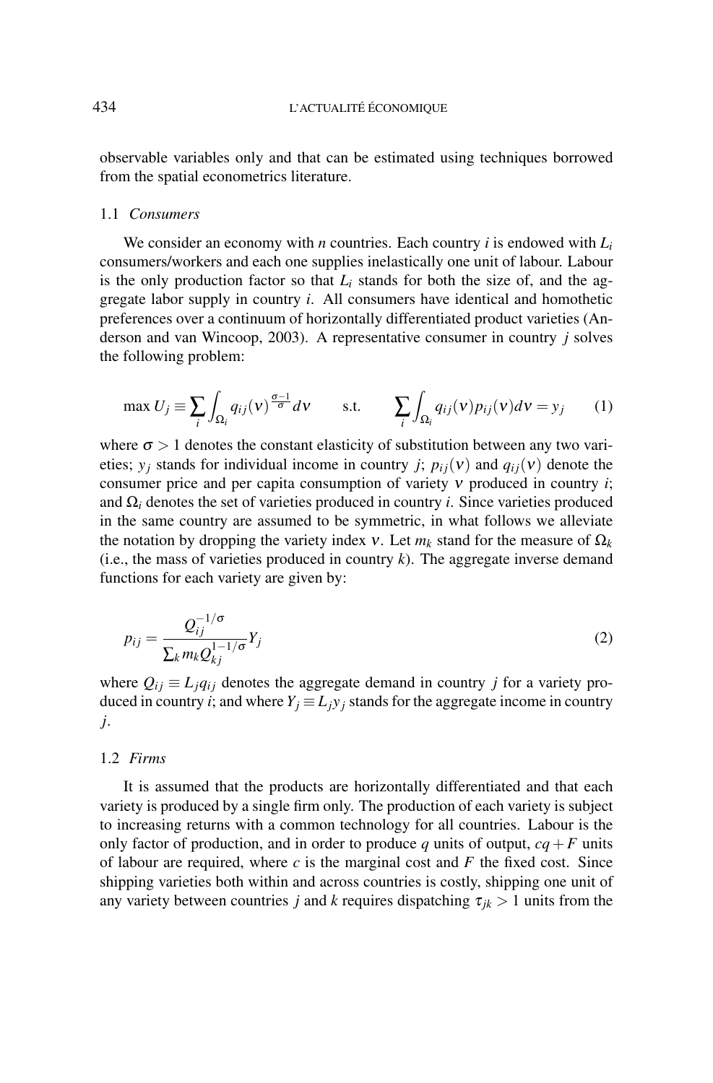observable variables only and that can be estimated using techniques borrowed from the spatial econometrics literature.

## 1.1 *Consumers*

We consider an economy with *n* countries. Each country *i* is endowed with *Li* consumers/workers and each one supplies inelastically one unit of labour. Labour is the only production factor so that  $L<sub>i</sub>$  stands for both the size of, and the aggregate labor supply in country *i*. All consumers have identical and homothetic preferences over a continuum of horizontally differentiated product varieties (Anderson and van Wincoop, 2003). A representative consumer in country *j* solves the following problem:

$$
\max U_j \equiv \sum_i \int_{\Omega_i} q_{ij}(v)^{\frac{\sigma-1}{\sigma}} dv \quad \text{s.t.} \quad \sum_i \int_{\Omega_i} q_{ij}(v) p_{ij}(v) dv = y_j \quad (1)
$$

where  $\sigma > 1$  denotes the constant elasticity of substitution between any two varieties;  $y_i$  stands for individual income in country *j*;  $p_{ii}(v)$  and  $q_{ii}(v)$  denote the consumer price and per capita consumption of variety ν produced in country *i*; and  $\Omega_i$  denotes the set of varieties produced in country *i*. Since varieties produced in the same country are assumed to be symmetric, in what follows we alleviate the notation by dropping the variety index v. Let  $m_k$  stand for the measure of  $\Omega_k$ (i.e., the mass of varieties produced in country  $k$ ). The aggregate inverse demand functions for each variety are given by:

$$
p_{ij} = \frac{Q_{ij}^{-1/\sigma}}{\sum_k m_k Q_{kj}^{1-1/\sigma}} Y_j
$$
\n(2)

where  $Q_{ij} \equiv L_j q_{ij}$  denotes the aggregate demand in country *j* for a variety produced in country *i*; and where  $Y_j \equiv L_j y_j$  stands for the aggregate income in country *j*.

## 1.2 *Firms*

It is assumed that the products are horizontally differentiated and that each variety is produced by a single firm only. The production of each variety is subject to increasing returns with a common technology for all countries. Labour is the only factor of production, and in order to produce  $q$  units of output,  $cq + F$  units of labour are required, where  $c$  is the marginal cost and  $F$  the fixed cost. Since shipping varieties both within and across countries is costly, shipping one unit of any variety between countries *j* and *k* requires dispatching  $\tau_{jk} > 1$  units from the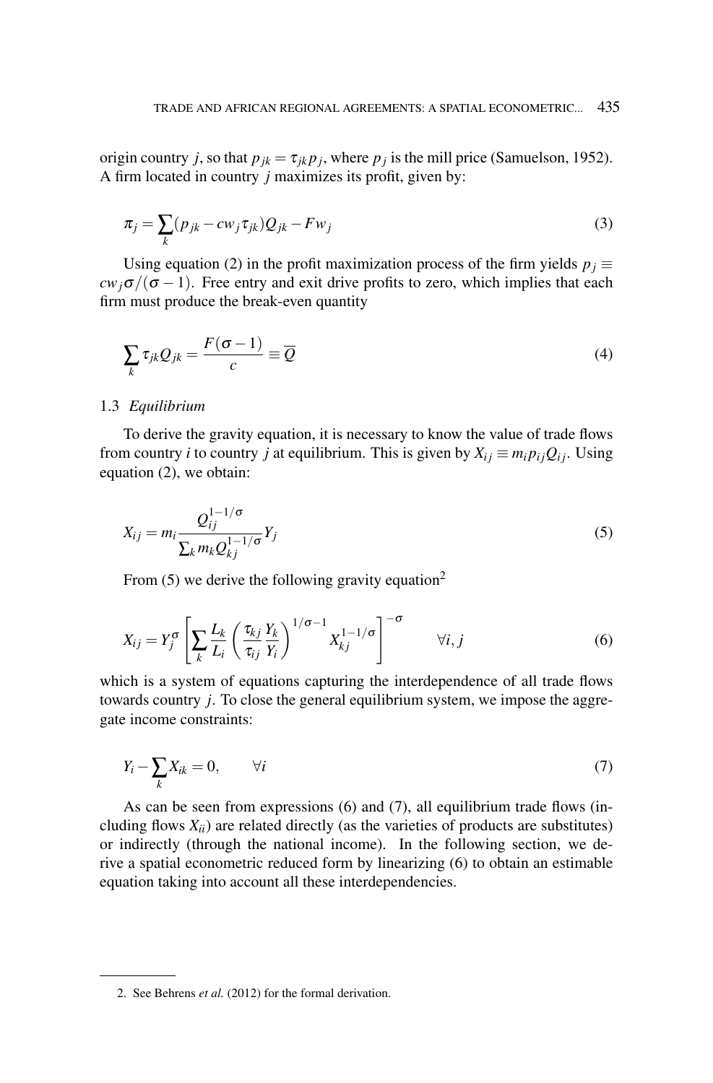origin country *j*, so that  $p_{jk} = \tau_{jk} p_j$ , where  $p_j$  is the mill price (Samuelson, 1952). A firm located in country *j* maximizes its profit, given by:

$$
\pi_j = \sum_k (p_{jk} - c w_j \tau_{jk}) Q_{jk} - F w_j \tag{3}
$$

Using equation (2) in the profit maximization process of the firm yields  $p_i \equiv$  $cw_i\sigma/(\sigma-1)$ . Free entry and exit drive profits to zero, which implies that each firm must produce the break-even quantity

$$
\sum_{k} \tau_{jk} Q_{jk} = \frac{F(\sigma - 1)}{c} \equiv \overline{Q}
$$
\n(4)

#### 1.3 *Equilibrium*

To derive the gravity equation, it is necessary to know the value of trade flows from country *i* to country *j* at equilibrium. This is given by  $X_{ij} \equiv m_i p_{ij} Q_{ij}$ . Using equation (2), we obtain:

$$
X_{ij} = m_i \frac{Q_{ij}^{1-1/\sigma}}{\sum_k m_k Q_{kj}^{1-1/\sigma}} Y_j
$$
\n
$$
(5)
$$

From (5) we derive the following gravity equation<sup>2</sup>

$$
X_{ij} = Y_j^{\sigma} \left[ \sum_k \frac{L_k}{L_i} \left( \frac{\tau_{kj}}{\tau_{ij}} \frac{Y_k}{Y_i} \right)^{1/\sigma - 1} X_{kj}^{1 - 1/\sigma} \right]^{-\sigma} \qquad \forall i, j \tag{6}
$$

which is a system of equations capturing the interdependence of all trade flows towards country *j*. To close the general equilibrium system, we impose the aggregate income constraints:

$$
Y_i - \sum_k X_{ik} = 0, \qquad \forall i \tag{7}
$$

As can be seen from expressions (6) and (7), all equilibrium trade flows (including flows  $X_{ii}$ ) are related directly (as the varieties of products are substitutes) or indirectly (through the national income). In the following section, we derive a spatial econometric reduced form by linearizing (6) to obtain an estimable equation taking into account all these interdependencies.

<sup>2.</sup> See Behrens *et al.* (2012) for the formal derivation.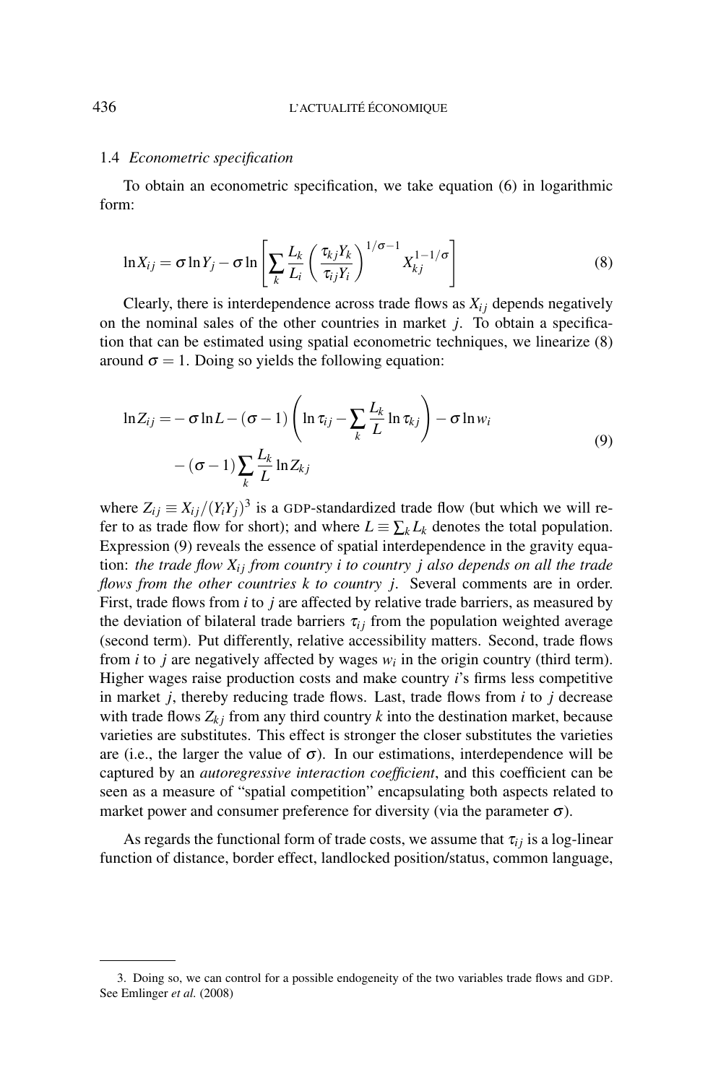#### 1.4 *Econometric specification*

To obtain an econometric specification, we take equation (6) in logarithmic form:

$$
\ln X_{ij} = \sigma \ln Y_j - \sigma \ln \left[ \sum_k \frac{L_k}{L_i} \left( \frac{\tau_{kj} Y_k}{\tau_{ij} Y_i} \right)^{1/\sigma - 1} X_{kj}^{1 - 1/\sigma} \right]
$$
(8)

Clearly, there is interdependence across trade flows as  $X_{ij}$  depends negatively on the nominal sales of the other countries in market *j*. To obtain a specification that can be estimated using spatial econometric techniques, we linearize (8) around  $\sigma = 1$ . Doing so yields the following equation:

$$
\ln Z_{ij} = -\sigma \ln L - (\sigma - 1) \left( \ln \tau_{ij} - \sum_{k} \frac{L_k}{L} \ln \tau_{kj} \right) - \sigma \ln w_i
$$
  
 
$$
- (\sigma - 1) \sum_{k} \frac{L_k}{L} \ln Z_{kj}
$$
 (9)

where  $Z_{ij} \equiv X_{ij}/(Y_i Y_j)^3$  is a GDP-standardized trade flow (but which we will refer to as trade flow for short); and where  $L \equiv \sum_k L_k$  denotes the total population. Expression (9) reveals the essence of spatial interdependence in the gravity equation: *the trade flow X<sub>ij</sub> from country i to country j also depends on all the trade flows from the other countries k to country j*. Several comments are in order. First, trade flows from *i* to *j* are affected by relative trade barriers, as measured by the deviation of bilateral trade barriers  $\tau_{ij}$  from the population weighted average (second term). Put differently, relative accessibility matters. Second, trade flows from *i* to *j* are negatively affected by wages  $w_i$  in the origin country (third term). Higher wages raise production costs and make country *i*'s firms less competitive in market *j*, thereby reducing trade flows. Last, trade flows from *i* to *j* decrease with trade flows  $Z_{ki}$  from any third country k into the destination market, because varieties are substitutes. This effect is stronger the closer substitutes the varieties are (i.e., the larger the value of  $\sigma$ ). In our estimations, interdependence will be captured by an *autoregressive interaction coefficient*, and this coefficient can be seen as a measure of "spatial competition" encapsulating both aspects related to market power and consumer preference for diversity (via the parameter  $\sigma$ ).

As regards the functional form of trade costs, we assume that  $\tau_{ij}$  is a log-linear function of distance, border effect, landlocked position/status, common language,

<sup>3.</sup> Doing so, we can control for a possible endogeneity of the two variables trade flows and GDP. See Emlinger *et al.* (2008)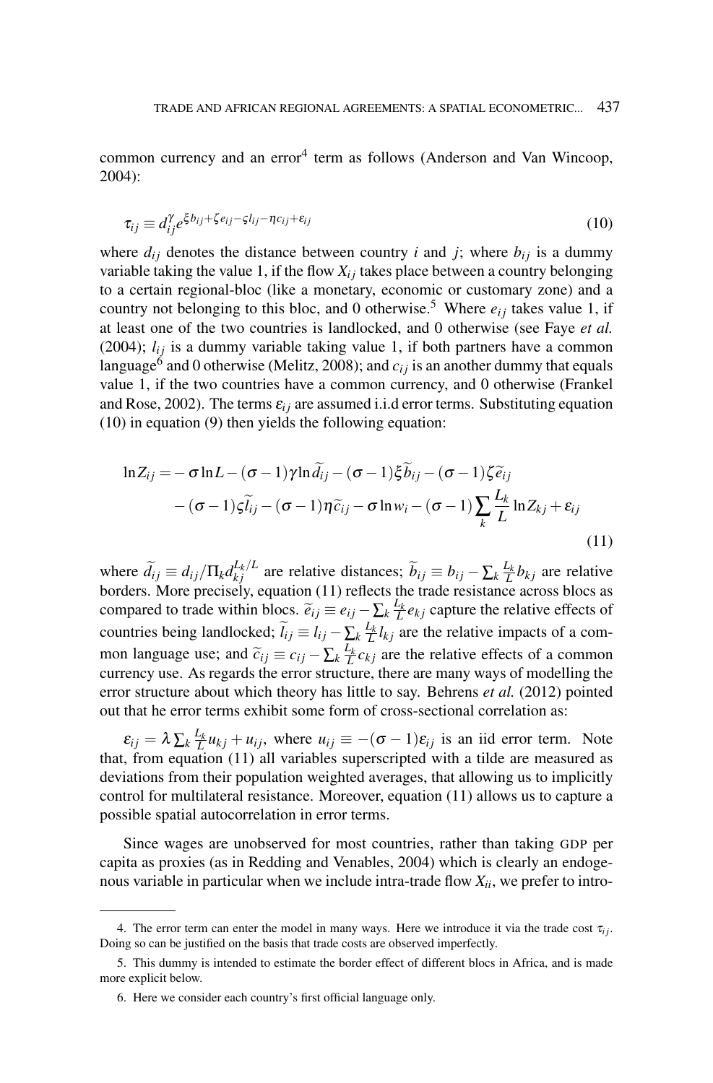common currency and an error<sup>4</sup> term as follows (Anderson and Van Wincoop, 2004):

$$
\tau_{ij} \equiv d_{ij}^{\gamma} e^{\xi b_{ij} + \zeta e_{ij} - \zeta l_{ij} - \eta c_{ij} + \epsilon_{ij}}
$$
\n(10)

where  $d_{ij}$  denotes the distance between country *i* and *j*; where  $b_{ij}$  is a dummy variable taking the value 1, if the flow  $X_{ij}$  takes place between a country belonging to a certain regional-bloc (like a monetary, economic or customary zone) and a country not belonging to this bloc, and 0 otherwise.<sup>5</sup> Where  $e_{ij}$  takes value 1, if at least one of the two countries is landlocked, and 0 otherwise (see Faye *et al.* (2004);  $l_{ij}$  is a dummy variable taking value 1, if both partners have a common language<sup>6</sup> and 0 otherwise (Melitz, 2008); and  $c_{ij}$  is an another dummy that equals value 1, if the two countries have a common currency, and 0 otherwise (Frankel and Rose, 2002). The terms  $\varepsilon_{ij}$  are assumed i.i.d error terms. Substituting equation (10) in equation (9) then yields the following equation:

$$
\ln Z_{ij} = -\sigma \ln L - (\sigma - 1)\gamma \ln \widetilde{d}_{ij} - (\sigma - 1)\xi \widetilde{b}_{ij} - (\sigma - 1)\zeta \widetilde{e}_{ij}
$$

$$
- (\sigma - 1)\zeta \widetilde{l}_{ij} - (\sigma - 1)\eta \widetilde{c}_{ij} - \sigma \ln w_i - (\sigma - 1)\sum_{k} \frac{L_k}{L} \ln Z_{kj} + \varepsilon_{ij}
$$
(11)

where  $\tilde{d}_{ij} \equiv d_{ij}/\Pi_k d_{kj}^{L_k/L}$  are relative distances;  $\tilde{b}_{ij} \equiv b_{ij} - \sum_k \frac{L_k}{L} b_{kj}$  are relative borders. More precisely, equation (11) reflects the trade resistance across blocs as compared to trade within blocs.  $\tilde{e}_{ij} \equiv e_{ij} - \sum_k \frac{L_k}{L} e_{kj}$  capture the relative effects of countries being landlocked;  $\tilde{l}_{ij} \equiv l_{ij} - \sum_{k} \frac{L_k}{L} l_{kj}$  are the relative impacts of a common language use; and  $\tilde{c}_{ij} \equiv c_{ij} - \sum_k \frac{L_k}{L} c_{kj}$  are the relative effects of a common currency use. As regards the error structure, there are many ways of modelling the error structure about which theory has little to say. Behrens *et al.* (2012) pointed out that he error terms exhibit some form of cross-sectional correlation as:

 $\varepsilon_{ij} = \lambda \sum_{k} \frac{L_k}{L} u_{kj} + u_{ij}$ , where  $u_{ij} \equiv -(\sigma - 1)\varepsilon_{ij}$  is an iid error term. Note that, from equation (11) all variables superscripted with a tilde are measured as deviations from their population weighted averages, that allowing us to implicitly control for multilateral resistance. Moreover, equation (11) allows us to capture a possible spatial autocorrelation in error terms.

Since wages are unobserved for most countries, rather than taking GDP per capita as proxies (as in Redding and Venables, 2004) which is clearly an endogenous variable in particular when we include intra-trade flow  $X_{ii}$ , we prefer to intro-

<sup>4.</sup> The error term can enter the model in many ways. Here we introduce it via the trade cost  $\tau_{ij}$ . Doing so can be justified on the basis that trade costs are observed imperfectly.

<sup>5.</sup> This dummy is intended to estimate the border effect of different blocs in Africa, and is made more explicit below.

<sup>6.</sup> Here we consider each country's first official language only.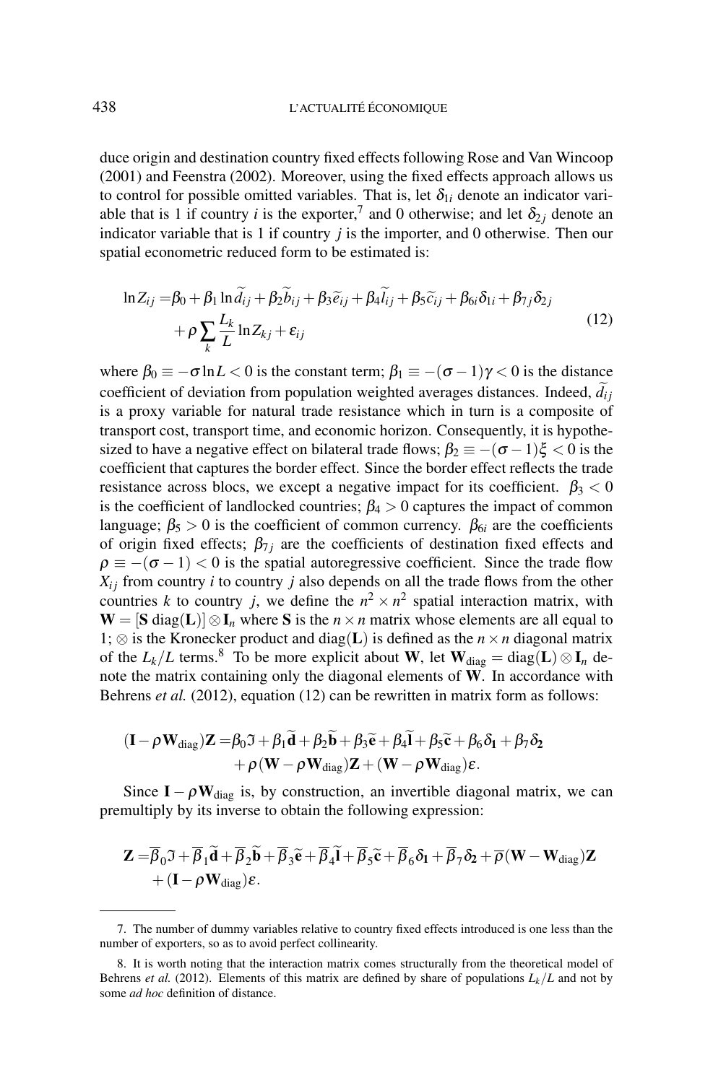duce origin and destination country fixed effects following Rose and Van Wincoop (2001) and Feenstra (2002). Moreover, using the fixed effects approach allows us to control for possible omitted variables. That is, let  $\delta_{1i}$  denote an indicator variable that is 1 if country *i* is the exporter,<sup>7</sup> and 0 otherwise; and let  $\delta_{2i}$  denote an indicator variable that is 1 if country *j* is the importer, and 0 otherwise. Then our spatial econometric reduced form to be estimated is:

$$
\ln Z_{ij} = \beta_0 + \beta_1 \ln \widetilde{d}_{ij} + \beta_2 \widetilde{b}_{ij} + \beta_3 \widetilde{e}_{ij} + \beta_4 \widetilde{l}_{ij} + \beta_5 \widetilde{c}_{ij} + \beta_6 \delta_{1i} + \beta_{7j} \delta_{2j} + \rho \sum_k \frac{L_k}{L} \ln Z_{kj} + \varepsilon_{ij}
$$
\n(12)

where  $\beta_0 \equiv -\sigma \ln L < 0$  is the constant term;  $\beta_1 \equiv -(\sigma - 1)\gamma < 0$  is the distance coefficient of deviation from population weighted averages distances. Indeed,  $d_{ij}$ is a proxy variable for natural trade resistance which in turn is a composite of transport cost, transport time, and economic horizon. Consequently, it is hypothesized to have a negative effect on bilateral trade flows;  $\beta_2 \equiv -(\sigma - 1)\xi < 0$  is the coefficient that captures the border effect. Since the border effect reflects the trade resistance across blocs, we except a negative impact for its coefficient.  $\beta_3 < 0$ is the coefficient of landlocked countries;  $\beta_4 > 0$  captures the impact of common language;  $\beta_5 > 0$  is the coefficient of common currency.  $\beta_{6i}$  are the coefficients of origin fixed effects;  $\beta_{7j}$  are the coefficients of destination fixed effects and  $\rho \equiv -(\sigma - 1) < 0$  is the spatial autoregressive coefficient. Since the trade flow  $X_{ij}$  from country *i* to country *j* also depends on all the trade flows from the other countries *k* to country *j*, we define the  $n^2 \times n^2$  spatial interaction matrix, with  $W = [S \text{ diag}(L)] \otimes I_n$  where S is the  $n \times n$  matrix whose elements are all equal to 1; ⊗ is the Kronecker product and diag(**L**) is defined as the *n* × *n* diagonal matrix of the  $L_k/L$  terms.<sup>8</sup> To be more explicit about W, let  $W_{diag} = diag(L) \otimes I_n$  denote the matrix containing only the diagonal elements of  $W$ . In accordance with Behrens *et al.* (2012), equation (12) can be rewritten in matrix form as follows:

$$
(I - \rho W_{diag})Z = \beta_0 \mathfrak{I} + \beta_1 \widetilde{d} + \beta_2 \widetilde{b} + \beta_3 \widetilde{e} + \beta_4 \widetilde{I} + \beta_5 \widetilde{e} + \beta_6 \delta_1 + \beta_7 \delta_2 + \rho (W - \rho W_{diag})Z + (W - \rho W_{diag})\epsilon.
$$

Since  $I - \rho W_{diag}$  is, by construction, an invertible diagonal matrix, we can premultiply by its inverse to obtain the following expression:

$$
\mathbf{Z} = \overline{\beta}_0 \mathfrak{I} + \overline{\beta}_1 \widetilde{\mathbf{d}} + \overline{\beta}_2 \widetilde{\mathbf{b}} + \overline{\beta}_3 \widetilde{\mathbf{e}} + \overline{\beta}_4 \widetilde{\mathbf{l}} + \overline{\beta}_5 \widetilde{\mathbf{c}} + \overline{\beta}_6 \delta_1 + \overline{\beta}_7 \delta_2 + \overline{\rho} (\mathbf{W} - \mathbf{W}_{\text{diag}}) \mathbf{Z} + (\mathbf{I} - \rho \mathbf{W}_{\text{diag}}) \varepsilon.
$$

<sup>7.</sup> The number of dummy variables relative to country fixed effects introduced is one less than the number of exporters, so as to avoid perfect collinearity.

<sup>8.</sup> It is worth noting that the interaction matrix comes structurally from the theoretical model of Behrens *et al.* (2012). Elements of this matrix are defined by share of populations  $L_k/L$  and not by some *ad hoc* definition of distance.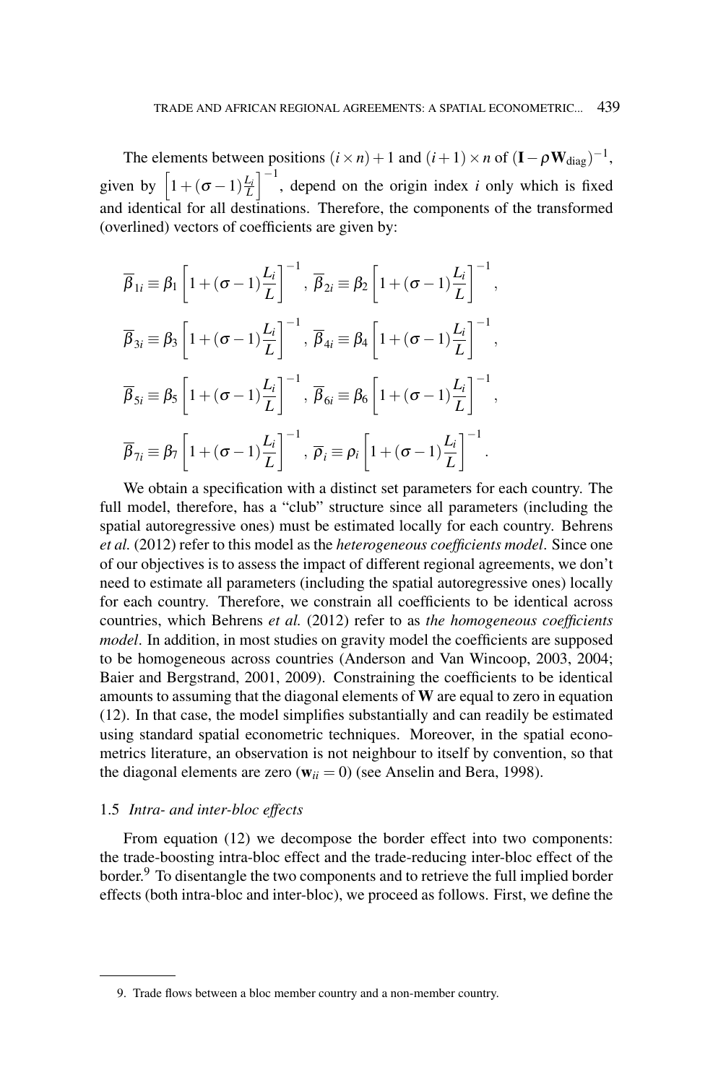The elements between positions  $(i \times n) + 1$  and  $(i+1) \times n$  of  $(I - \rho W_{diag})^{-1}$ , given by  $\left[1 + (\sigma - 1)\frac{L_i}{L}\right]$  $\int_{0}^{-1}$ , depend on the origin index *i* only which is fixed and identical for all destinations. Therefore, the components of the transformed (overlined) vectors of coefficients are given by:

$$
\overline{\beta}_{1i} \equiv \beta_1 \left[ 1 + (\sigma - 1) \frac{L_i}{L} \right]^{-1}, \ \overline{\beta}_{2i} \equiv \beta_2 \left[ 1 + (\sigma - 1) \frac{L_i}{L} \right]^{-1},
$$
  

$$
\overline{\beta}_{3i} \equiv \beta_3 \left[ 1 + (\sigma - 1) \frac{L_i}{L} \right]^{-1}, \ \overline{\beta}_{4i} \equiv \beta_4 \left[ 1 + (\sigma - 1) \frac{L_i}{L} \right]^{-1},
$$
  

$$
\overline{\beta}_{5i} \equiv \beta_5 \left[ 1 + (\sigma - 1) \frac{L_i}{L} \right]^{-1}, \ \overline{\beta}_{6i} \equiv \beta_6 \left[ 1 + (\sigma - 1) \frac{L_i}{L} \right]^{-1},
$$
  

$$
\overline{\beta}_{7i} \equiv \beta_7 \left[ 1 + (\sigma - 1) \frac{L_i}{L} \right]^{-1}, \ \overline{\rho}_i \equiv \rho_i \left[ 1 + (\sigma - 1) \frac{L_i}{L} \right]^{-1}.
$$

We obtain a specification with a distinct set parameters for each country. The full model, therefore, has a "club" structure since all parameters (including the spatial autoregressive ones) must be estimated locally for each country. Behrens *et al.* (2012) refer to this model as the *heterogeneous coefficients model*. Since one of our objectives is to assess the impact of different regional agreements, we don't need to estimate all parameters (including the spatial autoregressive ones) locally for each country. Therefore, we constrain all coefficients to be identical across countries, which Behrens *et al.* (2012) refer to as *the homogeneous coefficients model*. In addition, in most studies on gravity model the coefficients are supposed to be homogeneous across countries (Anderson and Van Wincoop, 2003, 2004; Baier and Bergstrand, 2001, 2009). Constraining the coefficients to be identical amounts to assuming that the diagonal elements of  $W$  are equal to zero in equation (12). In that case, the model simplifies substantially and can readily be estimated using standard spatial econometric techniques. Moreover, in the spatial econometrics literature, an observation is not neighbour to itself by convention, so that the diagonal elements are zero ( $w_{ii} = 0$ ) (see Anselin and Bera, 1998).

#### 1.5 *Intra- and inter-bloc effects*

From equation (12) we decompose the border effect into two components: the trade-boosting intra-bloc effect and the trade-reducing inter-bloc effect of the border.<sup>9</sup> To disentangle the two components and to retrieve the full implied border effects (both intra-bloc and inter-bloc), we proceed as follows. First, we define the

<sup>9.</sup> Trade flows between a bloc member country and a non-member country.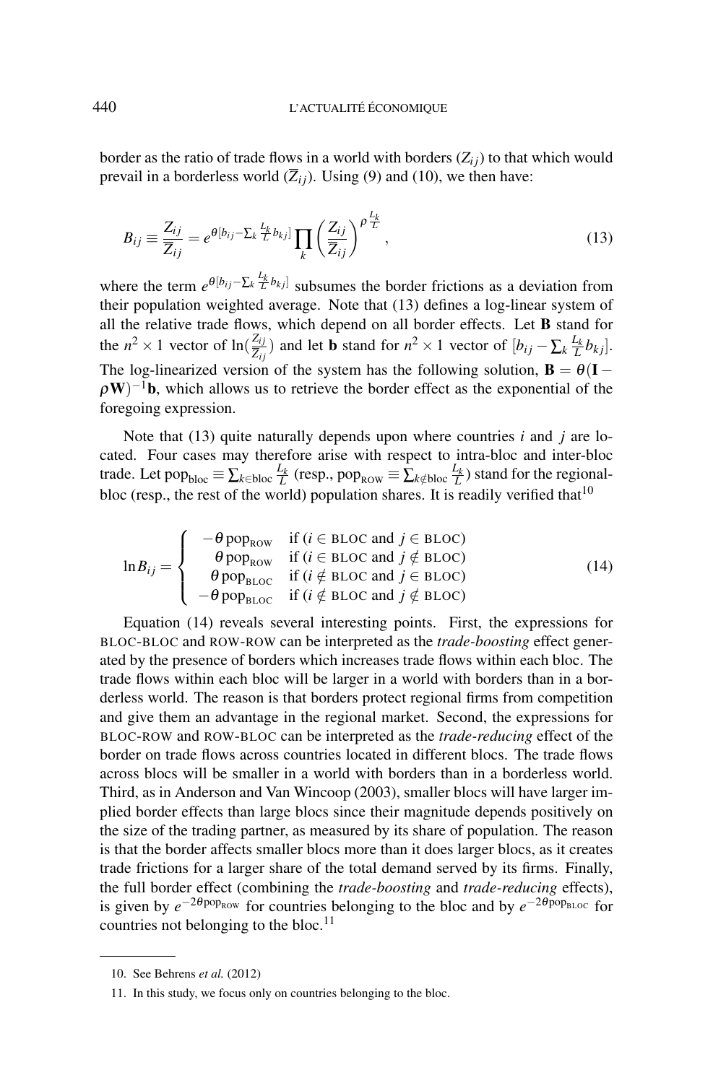border as the ratio of trade flows in a world with borders  $(Z_{ij})$  to that which would prevail in a borderless world  $(\overline{Z}_{ij})$ . Using (9) and (10), we then have:

$$
B_{ij} \equiv \frac{Z_{ij}}{\overline{Z}_{ij}} = e^{\theta[b_{ij} - \sum_k \frac{L_k}{L} b_{kj}]} \prod_k \left(\frac{Z_{ij}}{\overline{Z}_{ij}}\right)^{\rho \frac{L_k}{L}},\tag{13}
$$

where the term  $e^{\theta[b_{ij}-\sum_{k} \frac{L_k}{L}b_{kj}]}$  subsumes the border frictions as a deviation from their population weighted average. Note that (13) defines a log-linear system of all the relative trade flows, which depend on all border effects. Let B stand for the  $n^2 \times 1$  vector of  $\ln(\frac{Z_{ij}}{Z_{ij}})$  and let **b** stand for  $n^2 \times 1$  vector of  $[b_{ij} - \sum_k \frac{L_k}{L} b_{kj}]$ . The log-linearized version of the system has the following solution,  $\mathbf{B} = \theta(\mathbf{I} - \mathbf{I})$  $\rho$ W)<sup>-1</sup>b, which allows us to retrieve the border effect as the exponential of the foregoing expression.

Note that (13) quite naturally depends upon where countries *i* and *j* are located. Four cases may therefore arise with respect to intra-bloc and inter-bloc trade. Let  $\text{pop}_{\text{bloc}} \equiv \sum_{k \in \text{bloc}} \frac{L_k}{L}$  (resp.,  $\text{pop}_{\text{Row}} \equiv \sum_{k \notin \text{bloc}} \frac{L_k}{L}$ ) stand for the regionalbloc (resp., the rest of the world) population shares. It is readily verified that  $10$ 

$$
\ln B_{ij} = \begin{cases}\n-\theta \text{ pop}_{\text{Row}} & \text{if } (i \in \text{BLOC and } j \in \text{BLOC}) \\
\theta \text{ pop}_{\text{Row}} & \text{if } (i \in \text{BLOC and } j \notin \text{BLOC}) \\
\theta \text{ pop}_{\text{BLOC}} & \text{if } (i \notin \text{BLOC and } j \in \text{BLOC}) \\
-\theta \text{ pop}_{\text{BLOC}} & \text{if } (i \notin \text{BLOC and } j \notin \text{BLOC})\n\end{cases}
$$
\n(14)

Equation (14) reveals several interesting points. First, the expressions for BLOC-BLOC and ROW-ROW can be interpreted as the *trade-boosting* effect generated by the presence of borders which increases trade flows within each bloc. The trade flows within each bloc will be larger in a world with borders than in a borderless world. The reason is that borders protect regional firms from competition and give them an advantage in the regional market. Second, the expressions for BLOC-ROW and ROW-BLOC can be interpreted as the *trade-reducing* effect of the border on trade flows across countries located in different blocs. The trade flows across blocs will be smaller in a world with borders than in a borderless world. Third, as in Anderson and Van Wincoop (2003), smaller blocs will have larger implied border effects than large blocs since their magnitude depends positively on the size of the trading partner, as measured by its share of population. The reason is that the border affects smaller blocs more than it does larger blocs, as it creates trade frictions for a larger share of the total demand served by its firms. Finally, the full border effect (combining the *trade-boosting* and *trade-reducing* effects), is given by  $e^{-2\theta p \cdot o p_{\text{Row}}}$  for countries belonging to the bloc and by  $e^{-2\theta p \cdot o p_{\text{BLOC}}}$  for countries not belonging to the bloc.<sup>11</sup>

<sup>10.</sup> See Behrens *et al.* (2012)

<sup>11.</sup> In this study, we focus only on countries belonging to the bloc.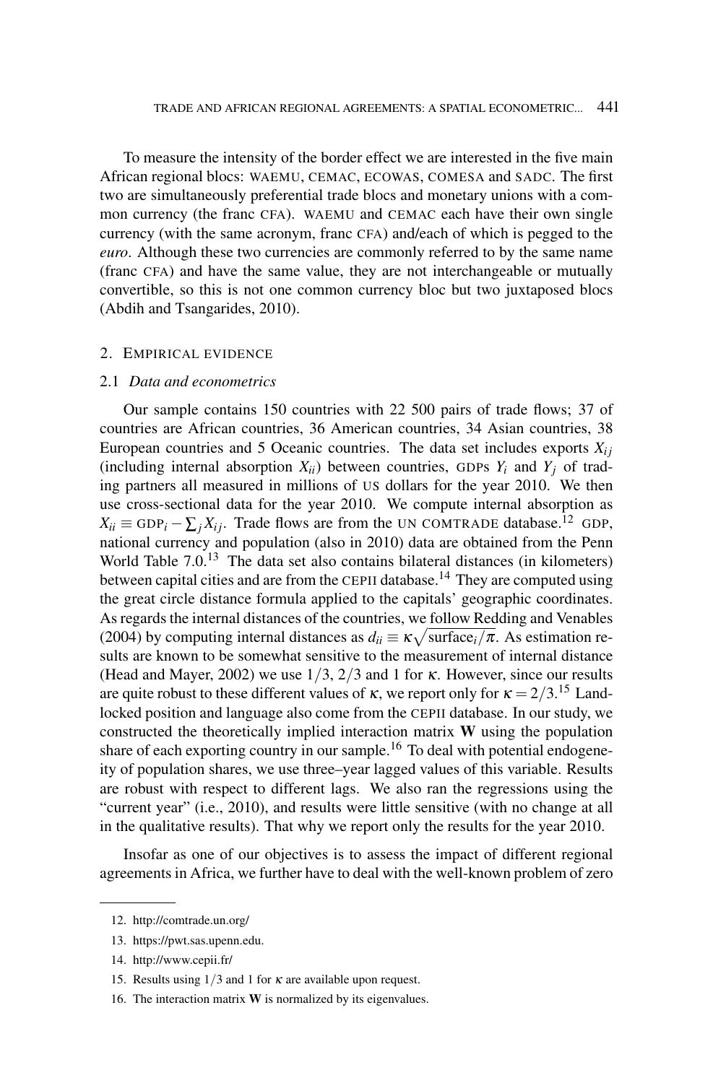To measure the intensity of the border effect we are interested in the five main African regional blocs: WAEMU, CEMAC, ECOWAS, COMESA and SADC. The first two are simultaneously preferential trade blocs and monetary unions with a common currency (the franc CFA). WAEMU and CEMAC each have their own single currency (with the same acronym, franc CFA) and/each of which is pegged to the *euro*. Although these two currencies are commonly referred to by the same name (franc CFA) and have the same value, they are not interchangeable or mutually convertible, so this is not one common currency bloc but two juxtaposed blocs (Abdih and Tsangarides, 2010).

#### 2. EMPIRICAL EVIDENCE

#### 2.1 *Data and econometrics*

Our sample contains 150 countries with 22 500 pairs of trade flows; 37 of countries are African countries, 36 American countries, 34 Asian countries, 38 European countries and 5 Oceanic countries. The data set includes exports  $X_{ij}$ (including internal absorption  $X_{ii}$ ) between countries, GDPs  $Y_i$  and  $Y_j$  of trading partners all measured in millions of US dollars for the year 2010. We then use cross-sectional data for the year 2010. We compute internal absorption as  $X_{ii} \equiv GDP_i - \sum_i X_{ij}$ . Trade flows are from the UN COMTRADE database.<sup>12</sup> GDP, national currency and population (also in 2010) data are obtained from the Penn World Table  $7.0<sup>13</sup>$  The data set also contains bilateral distances (in kilometers) between capital cities and are from the CEPII database.<sup>14</sup> They are computed using the great circle distance formula applied to the capitals' geographic coordinates. As regards the internal distances of the countries, we follow Redding and Venables (2004) by computing internal distances as  $d_{ii} \equiv \kappa \sqrt{\text{surface}_i/\pi}$ . As estimation results are known to be somewhat sensitive to the measurement of internal distance (Head and Mayer, 2002) we use  $1/3$ ,  $2/3$  and 1 for  $\kappa$ . However, since our results are quite robust to these different values of  $\kappa$ , we report only for  $\kappa = 2/3$ .<sup>15</sup> Landlocked position and language also come from the CEPII database. In our study, we constructed the theoretically implied interaction matrix  $W$  using the population share of each exporting country in our sample.<sup>16</sup> To deal with potential endogeneity of population shares, we use three–year lagged values of this variable. Results are robust with respect to different lags. We also ran the regressions using the "current year" (i.e., 2010), and results were little sensitive (with no change at all in the qualitative results). That why we report only the results for the year 2010.

Insofar as one of our objectives is to assess the impact of different regional agreements in Africa, we further have to deal with the well-known problem of zero

<sup>12.</sup> http://comtrade.un.org/

<sup>13.</sup> https://pwt.sas.upenn.edu.

<sup>14.</sup> http://www.cepii.fr/

<sup>15.</sup> Results using  $1/3$  and 1 for  $\kappa$  are available upon request.

<sup>16.</sup> The interaction matrix  $W$  is normalized by its eigenvalues.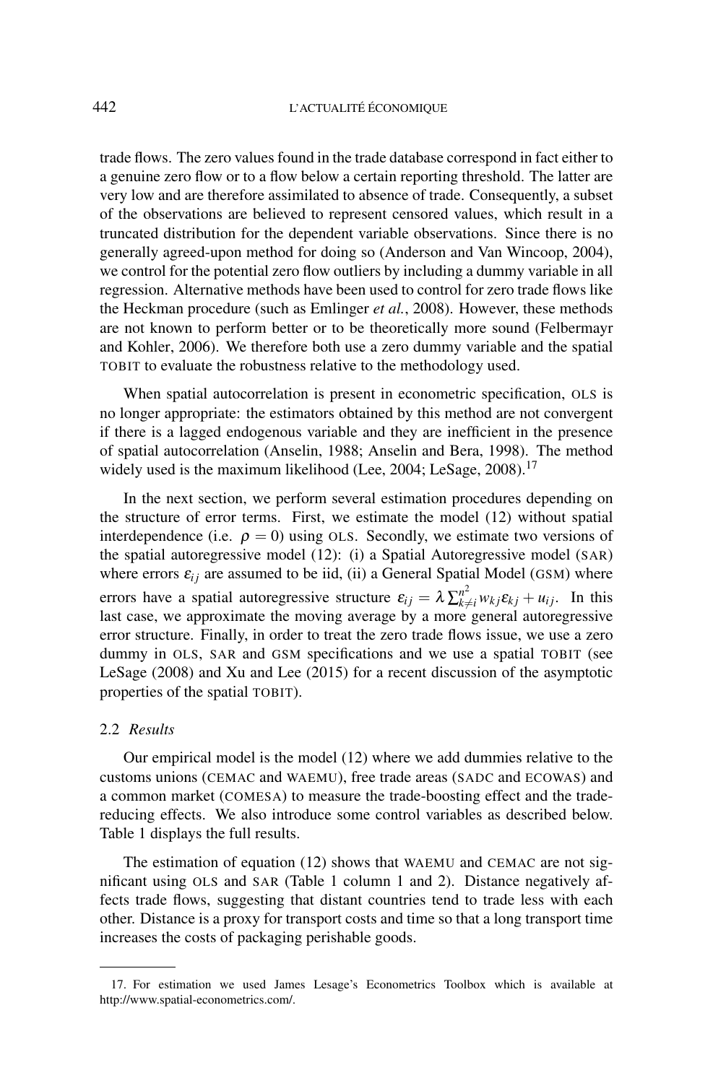trade flows. The zero values found in the trade database correspond in fact either to a genuine zero flow or to a flow below a certain reporting threshold. The latter are very low and are therefore assimilated to absence of trade. Consequently, a subset of the observations are believed to represent censored values, which result in a truncated distribution for the dependent variable observations. Since there is no generally agreed-upon method for doing so (Anderson and Van Wincoop, 2004), we control for the potential zero flow outliers by including a dummy variable in all regression. Alternative methods have been used to control for zero trade flows like the Heckman procedure (such as Emlinger *et al.*, 2008). However, these methods are not known to perform better or to be theoretically more sound (Felbermayr and Kohler, 2006). We therefore both use a zero dummy variable and the spatial TOBIT to evaluate the robustness relative to the methodology used.

When spatial autocorrelation is present in econometric specification, OLS is no longer appropriate: the estimators obtained by this method are not convergent if there is a lagged endogenous variable and they are inefficient in the presence of spatial autocorrelation (Anselin, 1988; Anselin and Bera, 1998). The method widely used is the maximum likelihood (Lee, 2004; LeSage, 2008).<sup>17</sup>

In the next section, we perform several estimation procedures depending on the structure of error terms. First, we estimate the model (12) without spatial interdependence (i.e.  $\rho = 0$ ) using OLS. Secondly, we estimate two versions of the spatial autoregressive model (12): (i) a Spatial Autoregressive model (SAR) where errors  $\varepsilon_{ij}$  are assumed to be iid, (ii) a General Spatial Model (GSM) where errors have a spatial autoregressive structure  $\varepsilon_{ij} = \lambda \sum_{k \neq i}^{n^2} w_{kj} \varepsilon_{kj} + u_{ij}$ . In this last case, we approximate the moving average by a more general autoregressive error structure. Finally, in order to treat the zero trade flows issue, we use a zero dummy in OLS, SAR and GSM specifications and we use a spatial TOBIT (see LeSage (2008) and Xu and Lee (2015) for a recent discussion of the asymptotic properties of the spatial TOBIT).

#### 2.2 *Results*

Our empirical model is the model (12) where we add dummies relative to the customs unions (CEMAC and WAEMU), free trade areas (SADC and ECOWAS) and a common market (COMESA) to measure the trade-boosting effect and the tradereducing effects. We also introduce some control variables as described below. Table 1 displays the full results.

The estimation of equation (12) shows that WAEMU and CEMAC are not significant using OLS and SAR (Table 1 column 1 and 2). Distance negatively affects trade flows, suggesting that distant countries tend to trade less with each other. Distance is a proxy for transport costs and time so that a long transport time increases the costs of packaging perishable goods.

<sup>17.</sup> For estimation we used James Lesage's Econometrics Toolbox which is available at http://www.spatial-econometrics.com/.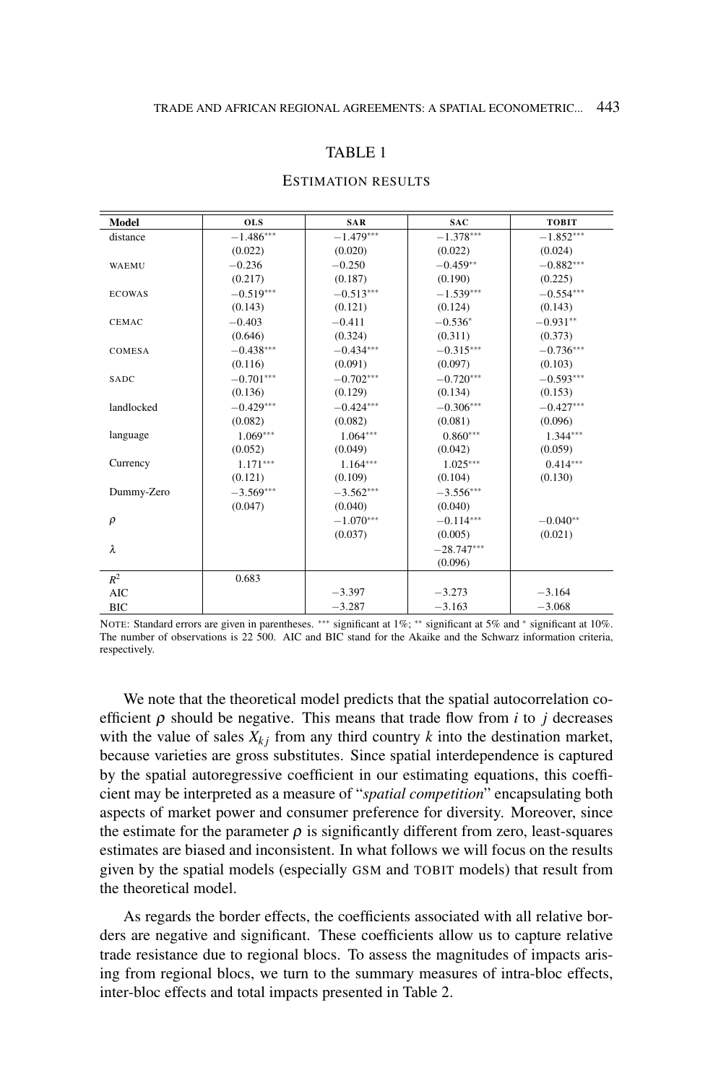#### TABLE 1

| Model         | <b>OLS</b>  | <b>SAR</b>  | <b>SAC</b>   | <b>TOBIT</b> |
|---------------|-------------|-------------|--------------|--------------|
| distance      | $-1.486***$ | $-1.479***$ | $-1.378***$  | $-1.852***$  |
|               | (0.022)     | (0.020)     | (0.022)      | (0.024)      |
| WAEMU         | $-0.236$    | $-0.250$    | $-0.459**$   | $-0.882***$  |
|               | (0.217)     | (0.187)     | (0.190)      | (0.225)      |
| <b>ECOWAS</b> | $-0.519***$ | $-0.513***$ | $-1.539***$  | $-0.554***$  |
|               | (0.143)     | (0.121)     | (0.124)      | (0.143)      |
| <b>CEMAC</b>  | $-0.403$    | $-0.411$    | $-0.536*$    | $-0.931**$   |
|               | (0.646)     | (0.324)     | (0.311)      | (0.373)      |
| COMESA        | $-0.438***$ | $-0.434***$ | $-0.315***$  | $-0.736***$  |
|               | (0.116)     | (0.091)     | (0.097)      | (0.103)      |
| SADC          | $-0.701***$ | $-0.702***$ | $-0.720***$  | $-0.593***$  |
|               | (0.136)     | (0.129)     | (0.134)      | (0.153)      |
| landlocked    | $-0.429***$ | $-0.424***$ | $-0.306***$  | $-0.427***$  |
|               | (0.082)     | (0.082)     | (0.081)      | (0.096)      |
| language      | $1.069***$  | $1.064***$  | $0.860***$   | $1.344***$   |
|               | (0.052)     | (0.049)     | (0.042)      | (0.059)      |
| Currency      | $1.171***$  | $1.164***$  | $1.025***$   | $0.414***$   |
|               | (0.121)     | (0.109)     | (0.104)      | (0.130)      |
| Dummy-Zero    | $-3.569***$ | $-3.562***$ | $-3.556***$  |              |
|               | (0.047)     | (0.040)     | (0.040)      |              |
| $\rho$        |             | $-1.070***$ | $-0.114***$  | $-0.040**$   |
|               |             | (0.037)     | (0.005)      | (0.021)      |
| λ             |             |             | $-28.747***$ |              |
|               |             |             | (0.096)      |              |
| $R^2$         | 0.683       |             |              |              |
| <b>AIC</b>    |             | $-3.397$    | $-3.273$     | $-3.164$     |
| <b>BIC</b>    |             | $-3.287$    | $-3.163$     | $-3.068$     |

#### ESTIMATION RESULTS

NOTE: Standard errors are given in parentheses. \*\*\* significant at 1%; \*\* significant at 5% and \* significant at 10%. The number of observations is 22 500. AIC and BIC stand for the Akaike and the Schwarz information criteria, respectively.

We note that the theoretical model predicts that the spatial autocorrelation coefficient  $\rho$  should be negative. This means that trade flow from *i* to *j* decreases with the value of sales  $X_{ki}$  from any third country  $k$  into the destination market, because varieties are gross substitutes. Since spatial interdependence is captured by the spatial autoregressive coefficient in our estimating equations, this coefficient may be interpreted as a measure of "*spatial competition*" encapsulating both aspects of market power and consumer preference for diversity. Moreover, since the estimate for the parameter  $\rho$  is significantly different from zero, least-squares estimates are biased and inconsistent. In what follows we will focus on the results given by the spatial models (especially GSM and TOBIT models) that result from the theoretical model.

As regards the border effects, the coefficients associated with all relative borders are negative and significant. These coefficients allow us to capture relative trade resistance due to regional blocs. To assess the magnitudes of impacts arising from regional blocs, we turn to the summary measures of intra-bloc effects, inter-bloc effects and total impacts presented in Table 2.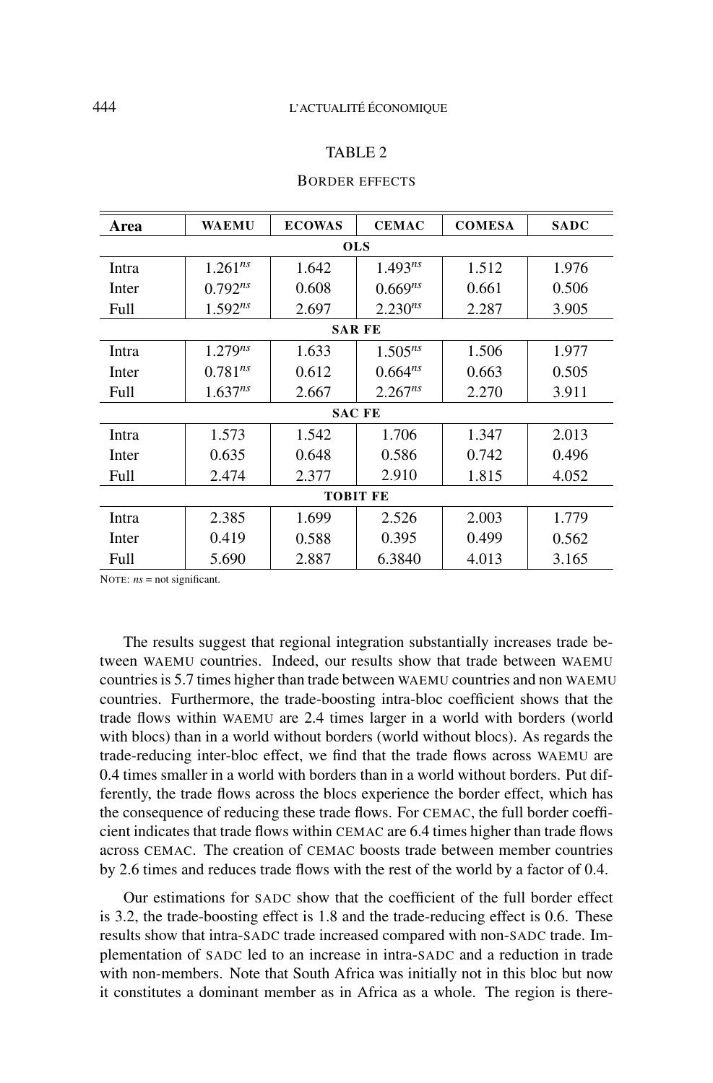#### TABLE 2

| Area            | <b>WAEMU</b> | <b>ECOWAS</b> | <b>CEMAC</b> | <b>COMESA</b> | <b>SADC</b> |  |  |  |
|-----------------|--------------|---------------|--------------|---------------|-------------|--|--|--|
| <b>OLS</b>      |              |               |              |               |             |  |  |  |
| Intra           | $1.261^{ns}$ | 1.642         | $1.493^{ns}$ | 1.512         | 1.976       |  |  |  |
| Inter           | $0.792^{ns}$ | 0.608         | $0.669^{ns}$ | 0.661         | 0.506       |  |  |  |
| Full            | $1.592^{ns}$ | 2.697         | $2.230^{ns}$ | 2.287         | 3.905       |  |  |  |
| <b>SARFE</b>    |              |               |              |               |             |  |  |  |
| Intra           | $1.279^{ns}$ | 1.633         | $1.505^{ns}$ | 1.506         | 1.977       |  |  |  |
| Inter           | $0.781^{ns}$ | 0.612         | $0.664^{ns}$ | 0.663         | 0.505       |  |  |  |
| Full            | $1.637^{ns}$ | 2.667         | $2.267^{ns}$ | 2.270         | 3.911       |  |  |  |
| <b>SAC FE</b>   |              |               |              |               |             |  |  |  |
| Intra           | 1.573        | 1.542         | 1.706        | 1.347         | 2.013       |  |  |  |
| Inter           | 0.635        | 0.648         | 0.586        | 0.742         | 0.496       |  |  |  |
| Full            | 2.474        | 2.377         | 2.910        | 1.815         | 4.052       |  |  |  |
| <b>TOBIT FE</b> |              |               |              |               |             |  |  |  |
| Intra           | 2.385        | 1.699         | 2.526        | 2.003         | 1.779       |  |  |  |
| Inter           | 0.419        | 0.588         | 0.395        | 0.499         | 0.562       |  |  |  |
| Full            | 5.690        | 2.887         | 6.3840       | 4.013         | 3.165       |  |  |  |

#### BORDER EFFECTS

NOTE:  $ns = not significant$ .

The results suggest that regional integration substantially increases trade between WAEMU countries. Indeed, our results show that trade between WAEMU countries is 5.7 times higher than trade between WAEMU countries and non WAEMU countries. Furthermore, the trade-boosting intra-bloc coefficient shows that the trade flows within WAEMU are 2.4 times larger in a world with borders (world with blocs) than in a world without borders (world without blocs). As regards the trade-reducing inter-bloc effect, we find that the trade flows across WAEMU are 0.4 times smaller in a world with borders than in a world without borders. Put differently, the trade flows across the blocs experience the border effect, which has the consequence of reducing these trade flows. For CEMAC, the full border coefficient indicates that trade flows within CEMAC are 6.4 times higher than trade flows across CEMAC. The creation of CEMAC boosts trade between member countries by 2.6 times and reduces trade flows with the rest of the world by a factor of 0.4.

Our estimations for SADC show that the coefficient of the full border effect is 3.2, the trade-boosting effect is 1.8 and the trade-reducing effect is 0.6. These results show that intra-SADC trade increased compared with non-SADC trade. Implementation of SADC led to an increase in intra-SADC and a reduction in trade with non-members. Note that South Africa was initially not in this bloc but now it constitutes a dominant member as in Africa as a whole. The region is there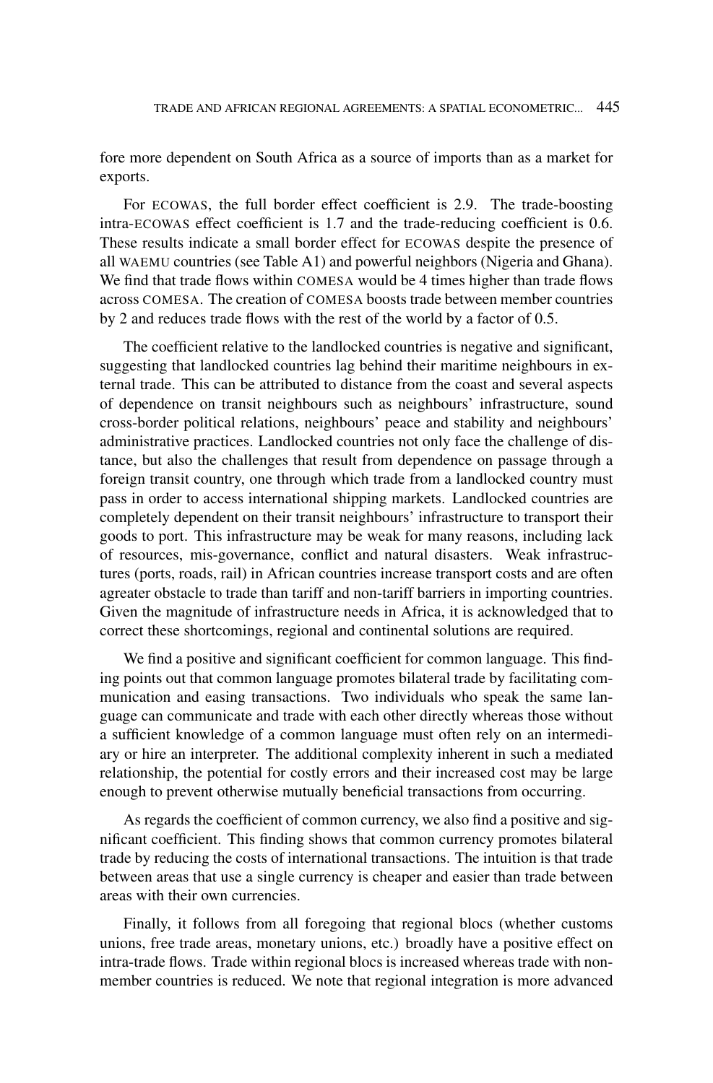fore more dependent on South Africa as a source of imports than as a market for exports.

For ECOWAS, the full border effect coefficient is 2.9. The trade-boosting intra-ECOWAS effect coefficient is 1.7 and the trade-reducing coefficient is 0.6. These results indicate a small border effect for ECOWAS despite the presence of all WAEMU countries (see Table A1) and powerful neighbors (Nigeria and Ghana). We find that trade flows within COMESA would be 4 times higher than trade flows across COMESA. The creation of COMESA boosts trade between member countries by 2 and reduces trade flows with the rest of the world by a factor of 0.5.

The coefficient relative to the landlocked countries is negative and significant, suggesting that landlocked countries lag behind their maritime neighbours in external trade. This can be attributed to distance from the coast and several aspects of dependence on transit neighbours such as neighbours' infrastructure, sound cross-border political relations, neighbours' peace and stability and neighbours' administrative practices. Landlocked countries not only face the challenge of distance, but also the challenges that result from dependence on passage through a foreign transit country, one through which trade from a landlocked country must pass in order to access international shipping markets. Landlocked countries are completely dependent on their transit neighbours' infrastructure to transport their goods to port. This infrastructure may be weak for many reasons, including lack of resources, mis-governance, conflict and natural disasters. Weak infrastructures (ports, roads, rail) in African countries increase transport costs and are often agreater obstacle to trade than tariff and non-tariff barriers in importing countries. Given the magnitude of infrastructure needs in Africa, it is acknowledged that to correct these shortcomings, regional and continental solutions are required.

We find a positive and significant coefficient for common language. This finding points out that common language promotes bilateral trade by facilitating communication and easing transactions. Two individuals who speak the same language can communicate and trade with each other directly whereas those without a sufficient knowledge of a common language must often rely on an intermediary or hire an interpreter. The additional complexity inherent in such a mediated relationship, the potential for costly errors and their increased cost may be large enough to prevent otherwise mutually beneficial transactions from occurring.

As regards the coefficient of common currency, we also find a positive and significant coefficient. This finding shows that common currency promotes bilateral trade by reducing the costs of international transactions. The intuition is that trade between areas that use a single currency is cheaper and easier than trade between areas with their own currencies.

Finally, it follows from all foregoing that regional blocs (whether customs unions, free trade areas, monetary unions, etc.) broadly have a positive effect on intra-trade flows. Trade within regional blocs is increased whereas trade with nonmember countries is reduced. We note that regional integration is more advanced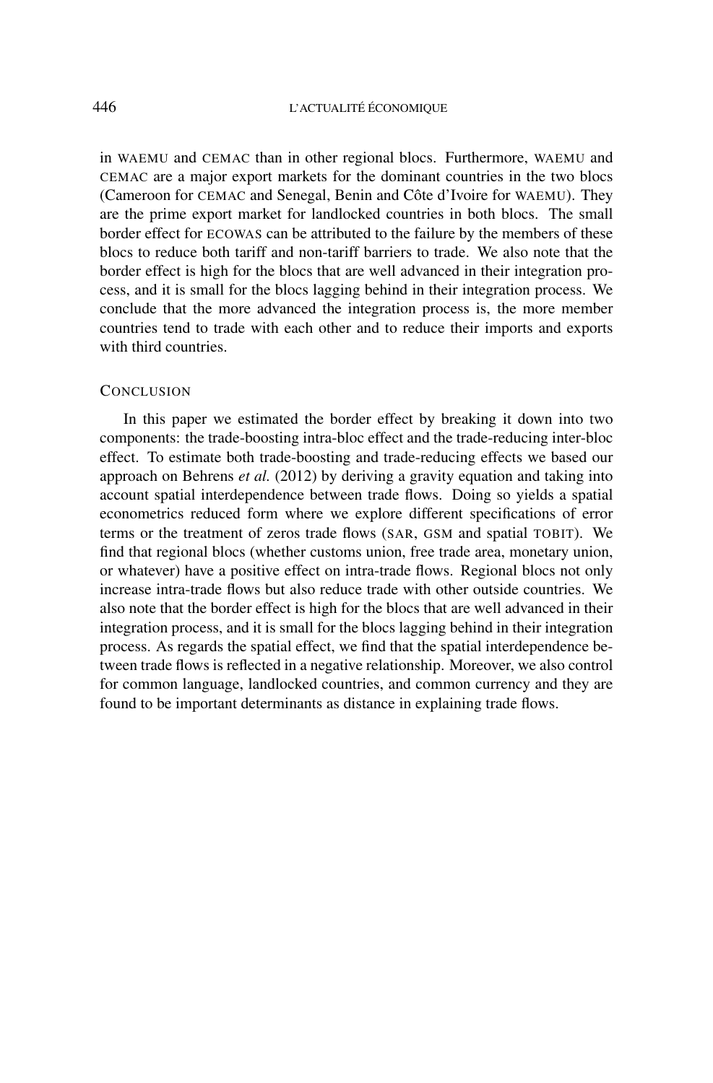in WAEMU and CEMAC than in other regional blocs. Furthermore, WAEMU and CEMAC are a major export markets for the dominant countries in the two blocs (Cameroon for CEMAC and Senegal, Benin and Côte d'Ivoire for WAEMU). They are the prime export market for landlocked countries in both blocs. The small border effect for ECOWAS can be attributed to the failure by the members of these blocs to reduce both tariff and non-tariff barriers to trade. We also note that the border effect is high for the blocs that are well advanced in their integration process, and it is small for the blocs lagging behind in their integration process. We conclude that the more advanced the integration process is, the more member countries tend to trade with each other and to reduce their imports and exports with third countries.

#### **CONCLUSION**

In this paper we estimated the border effect by breaking it down into two components: the trade-boosting intra-bloc effect and the trade-reducing inter-bloc effect. To estimate both trade-boosting and trade-reducing effects we based our approach on Behrens *et al.* (2012) by deriving a gravity equation and taking into account spatial interdependence between trade flows. Doing so yields a spatial econometrics reduced form where we explore different specifications of error terms or the treatment of zeros trade flows (SAR, GSM and spatial TOBIT). We find that regional blocs (whether customs union, free trade area, monetary union, or whatever) have a positive effect on intra-trade flows. Regional blocs not only increase intra-trade flows but also reduce trade with other outside countries. We also note that the border effect is high for the blocs that are well advanced in their integration process, and it is small for the blocs lagging behind in their integration process. As regards the spatial effect, we find that the spatial interdependence between trade flows is reflected in a negative relationship. Moreover, we also control for common language, landlocked countries, and common currency and they are found to be important determinants as distance in explaining trade flows.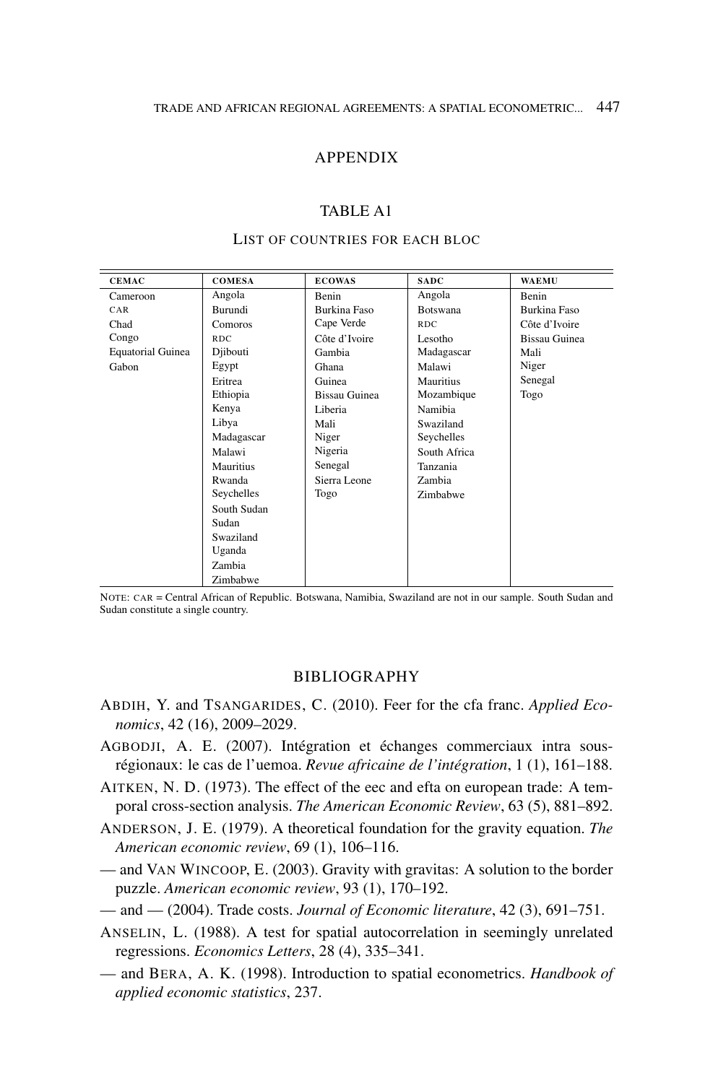## APPENDIX

## TABLE A1

## LIST OF COUNTRIES FOR EACH BLOC

| <b>CEMAC</b>             | <b>COMESA</b> | <b>ECOWAS</b>        | <b>SADC</b>      | <b>WAEMU</b>         |
|--------------------------|---------------|----------------------|------------------|----------------------|
| Cameroon                 | Angola        | Benin                | Angola           | Benin                |
| CAR                      | Burundi       | <b>Burkina Faso</b>  | <b>Botswana</b>  | <b>Burkina Faso</b>  |
| Chad                     | Comoros       | Cape Verde           | RDC.             | Côte d'Ivoire        |
| Congo                    | <b>RDC</b>    | Côte d'Ivoire        | Lesotho          | <b>Bissau Guinea</b> |
| <b>Equatorial Guinea</b> | Djibouti      | Gambia               | Madagascar       | Mali                 |
| Gabon                    | Egypt         | Ghana                | Malawi           | Niger                |
|                          | Eritrea       | Guinea               | <b>Mauritius</b> | Senegal              |
|                          | Ethiopia      | <b>Bissau Guinea</b> | Mozambique       | Togo                 |
|                          | Kenya         | Liberia              | Namibia          |                      |
|                          | Libya         | Mali                 | Swaziland        |                      |
|                          | Madagascar    | Niger                | Seychelles       |                      |
|                          | Malawi        | Nigeria              | South Africa     |                      |
|                          | Mauritius     | Senegal              | Tanzania         |                      |
|                          | Rwanda        | Sierra Leone         | Zambia           |                      |
|                          | Seychelles    | Togo                 | Zimbabwe         |                      |
|                          | South Sudan   |                      |                  |                      |
|                          | Sudan         |                      |                  |                      |
|                          | Swaziland     |                      |                  |                      |
|                          | Uganda        |                      |                  |                      |
|                          | Zambia        |                      |                  |                      |
|                          | Zimbabwe      |                      |                  |                      |

NOTE: CAR = Central African of Republic. Botswana, Namibia, Swaziland are not in our sample. South Sudan and Sudan constitute a single country.

## BIBLIOGRAPHY

- ABDIH, Y. and TSANGARIDES, C. (2010). Feer for the cfa franc. *Applied Economics*, 42 (16), 2009–2029.
- AGBODJI, A. E. (2007). Intégration et échanges commerciaux intra sousrégionaux: le cas de l'uemoa. *Revue africaine de l'intégration*, 1 (1), 161–188.
- AITKEN, N. D. (1973). The effect of the eec and efta on european trade: A temporal cross-section analysis. *The American Economic Review*, 63 (5), 881–892.
- ANDERSON, J. E. (1979). A theoretical foundation for the gravity equation. *The American economic review*, 69 (1), 106–116.
- and VAN WINCOOP, E. (2003). Gravity with gravitas: A solution to the border puzzle. *American economic review*, 93 (1), 170–192.
- and (2004). Trade costs. *Journal of Economic literature*, 42 (3), 691–751.
- ANSELIN, L. (1988). A test for spatial autocorrelation in seemingly unrelated regressions. *Economics Letters*, 28 (4), 335–341.
- and BERA, A. K. (1998). Introduction to spatial econometrics. *Handbook of applied economic statistics*, 237.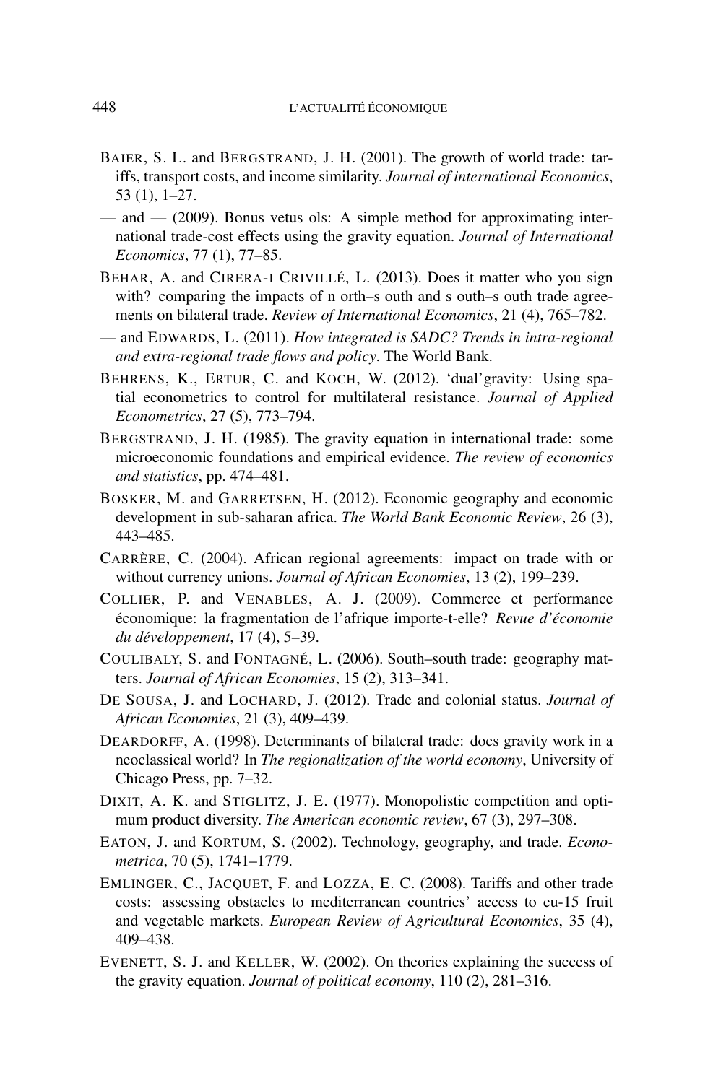- BAIER, S. L. and BERGSTRAND, J. H. (2001). The growth of world trade: tariffs, transport costs, and income similarity. *Journal of international Economics*, 53 (1), 1–27.
- $-$  and  $-$  (2009). Bonus vetus ols: A simple method for approximating international trade-cost effects using the gravity equation. *Journal of International Economics*, 77 (1), 77–85.
- BEHAR, A. and CIRERA-I CRIVILLÉ, L. (2013). Does it matter who you sign with? comparing the impacts of n orth–s outh and s outh–s outh trade agreements on bilateral trade. *Review of International Economics*, 21 (4), 765–782.
- and EDWARDS, L. (2011). *How integrated is SADC? Trends in intra-regional and extra-regional trade flows and policy*. The World Bank.
- BEHRENS, K., ERTUR, C. and KOCH, W. (2012). 'dual'gravity: Using spatial econometrics to control for multilateral resistance. *Journal of Applied Econometrics*, 27 (5), 773–794.
- BERGSTRAND, J. H. (1985). The gravity equation in international trade: some microeconomic foundations and empirical evidence. *The review of economics and statistics*, pp. 474–481.
- BOSKER, M. and GARRETSEN, H. (2012). Economic geography and economic development in sub-saharan africa. *The World Bank Economic Review*, 26 (3), 443–485.
- CARRÈRE, C. (2004). African regional agreements: impact on trade with or without currency unions. *Journal of African Economies*, 13 (2), 199–239.
- COLLIER, P. and VENABLES, A. J. (2009). Commerce et performance économique: la fragmentation de l'afrique importe-t-elle? *Revue d'économie du développement*, 17 (4), 5–39.
- COULIBALY, S. and FONTAGNÉ, L. (2006). South–south trade: geography matters. *Journal of African Economies*, 15 (2), 313–341.
- DE SOUSA, J. and LOCHARD, J. (2012). Trade and colonial status. *Journal of African Economies*, 21 (3), 409–439.
- DEARDORFF, A. (1998). Determinants of bilateral trade: does gravity work in a neoclassical world? In *The regionalization of the world economy*, University of Chicago Press, pp. 7–32.
- DIXIT, A. K. and STIGLITZ, J. E. (1977). Monopolistic competition and optimum product diversity. *The American economic review*, 67 (3), 297–308.
- EATON, J. and KORTUM, S. (2002). Technology, geography, and trade. *Econometrica*, 70 (5), 1741–1779.
- EMLINGER, C., JACQUET, F. and LOZZA, E. C. (2008). Tariffs and other trade costs: assessing obstacles to mediterranean countries' access to eu-15 fruit and vegetable markets. *European Review of Agricultural Economics*, 35 (4), 409–438.
- EVENETT, S. J. and KELLER, W. (2002). On theories explaining the success of the gravity equation. *Journal of political economy*, 110 (2), 281–316.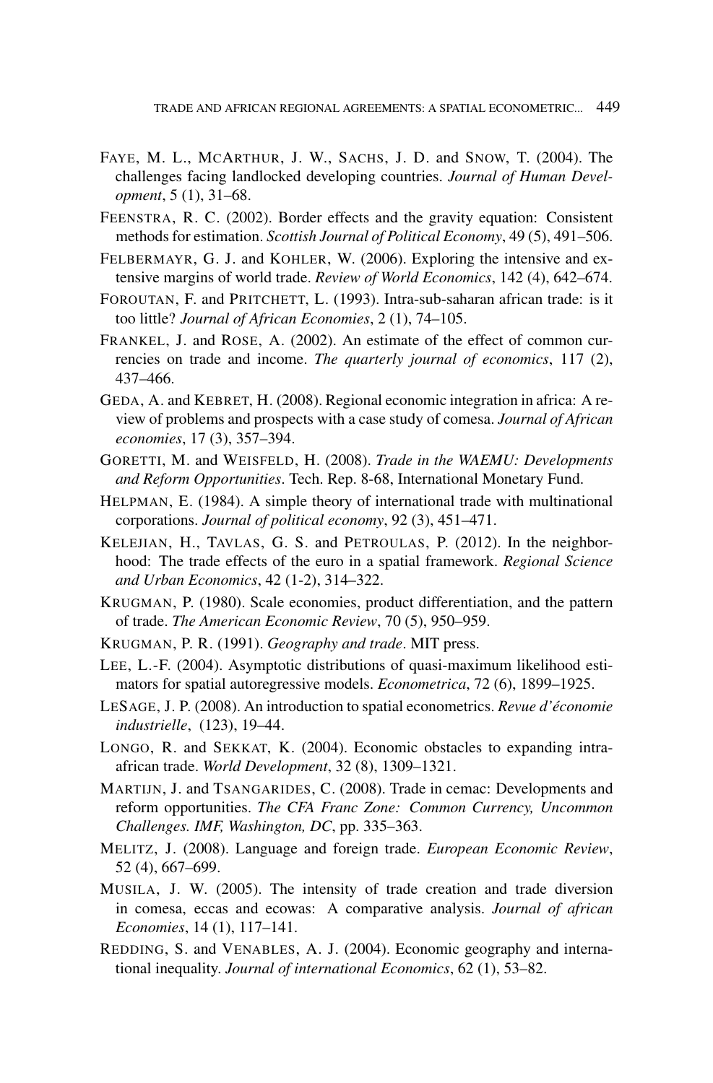- FAYE, M. L., MCARTHUR, J. W., SACHS, J. D. and SNOW, T. (2004). The challenges facing landlocked developing countries. *Journal of Human Development*, 5 (1), 31–68.
- FEENSTRA, R. C. (2002). Border effects and the gravity equation: Consistent methods for estimation. *Scottish Journal of Political Economy*, 49 (5), 491–506.
- FELBERMAYR, G. J. and KOHLER, W. (2006). Exploring the intensive and extensive margins of world trade. *Review of World Economics*, 142 (4), 642–674.
- FOROUTAN, F. and PRITCHETT, L. (1993). Intra-sub-saharan african trade: is it too little? *Journal of African Economies*, 2 (1), 74–105.
- FRANKEL, J. and ROSE, A. (2002). An estimate of the effect of common currencies on trade and income. *The quarterly journal of economics*, 117 (2), 437–466.
- GEDA, A. and KEBRET, H. (2008). Regional economic integration in africa: A review of problems and prospects with a case study of comesa. *Journal of African economies*, 17 (3), 357–394.
- GORETTI, M. and WEISFELD, H. (2008). *Trade in the WAEMU: Developments and Reform Opportunities*. Tech. Rep. 8-68, International Monetary Fund.
- HELPMAN, E. (1984). A simple theory of international trade with multinational corporations. *Journal of political economy*, 92 (3), 451–471.
- KELEJIAN, H., TAVLAS, G. S. and PETROULAS, P. (2012). In the neighborhood: The trade effects of the euro in a spatial framework. *Regional Science and Urban Economics*, 42 (1-2), 314–322.
- KRUGMAN, P. (1980). Scale economies, product differentiation, and the pattern of trade. *The American Economic Review*, 70 (5), 950–959.
- KRUGMAN, P. R. (1991). *Geography and trade*. MIT press.
- LEE, L.-F. (2004). Asymptotic distributions of quasi-maximum likelihood estimators for spatial autoregressive models. *Econometrica*, 72 (6), 1899–1925.
- LESAGE, J. P. (2008). An introduction to spatial econometrics. *Revue d'économie industrielle*, (123), 19–44.
- LONGO, R. and SEKKAT, K. (2004). Economic obstacles to expanding intraafrican trade. *World Development*, 32 (8), 1309–1321.
- MARTIJN, J. and TSANGARIDES, C. (2008). Trade in cemac: Developments and reform opportunities. *The CFA Franc Zone: Common Currency, Uncommon Challenges. IMF, Washington, DC*, pp. 335–363.
- MELITZ, J. (2008). Language and foreign trade. *European Economic Review*, 52 (4), 667–699.
- MUSILA, J. W. (2005). The intensity of trade creation and trade diversion in comesa, eccas and ecowas: A comparative analysis. *Journal of african Economies*, 14 (1), 117–141.
- REDDING, S. and VENABLES, A. J. (2004). Economic geography and international inequality. *Journal of international Economics*, 62 (1), 53–82.